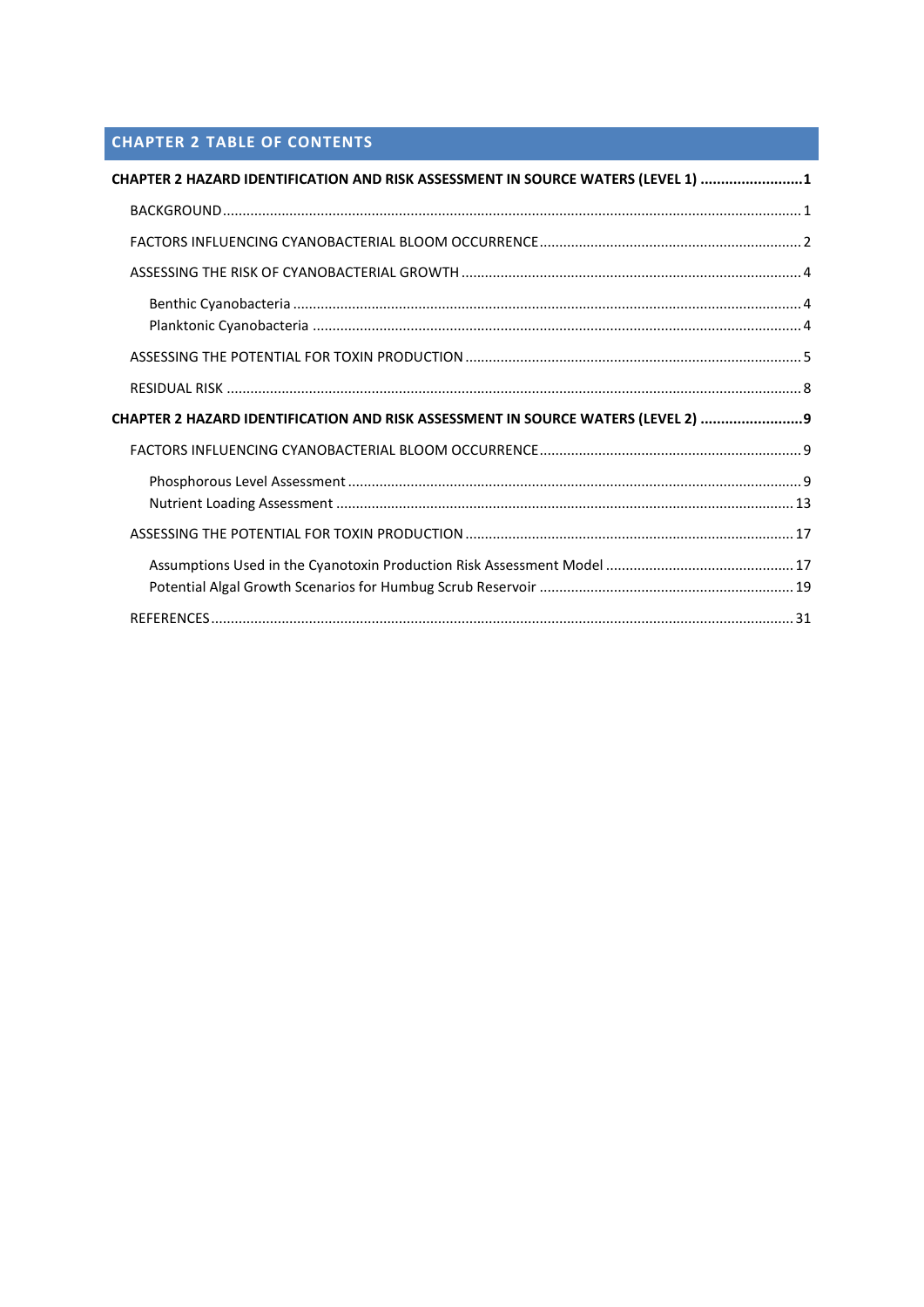# **CHAPTER 2 TABLE OF CONTENTS**

| CHAPTER 2 HAZARD IDENTIFICATION AND RISK ASSESSMENT IN SOURCE WATERS (LEVEL 1) 1  |  |
|-----------------------------------------------------------------------------------|--|
|                                                                                   |  |
|                                                                                   |  |
|                                                                                   |  |
|                                                                                   |  |
|                                                                                   |  |
|                                                                                   |  |
| CHAPTER 2 HAZARD IDENTIFICATION AND RISK ASSESSMENT IN SOURCE WATERS (LEVEL 2)  9 |  |
|                                                                                   |  |
|                                                                                   |  |
|                                                                                   |  |
|                                                                                   |  |
|                                                                                   |  |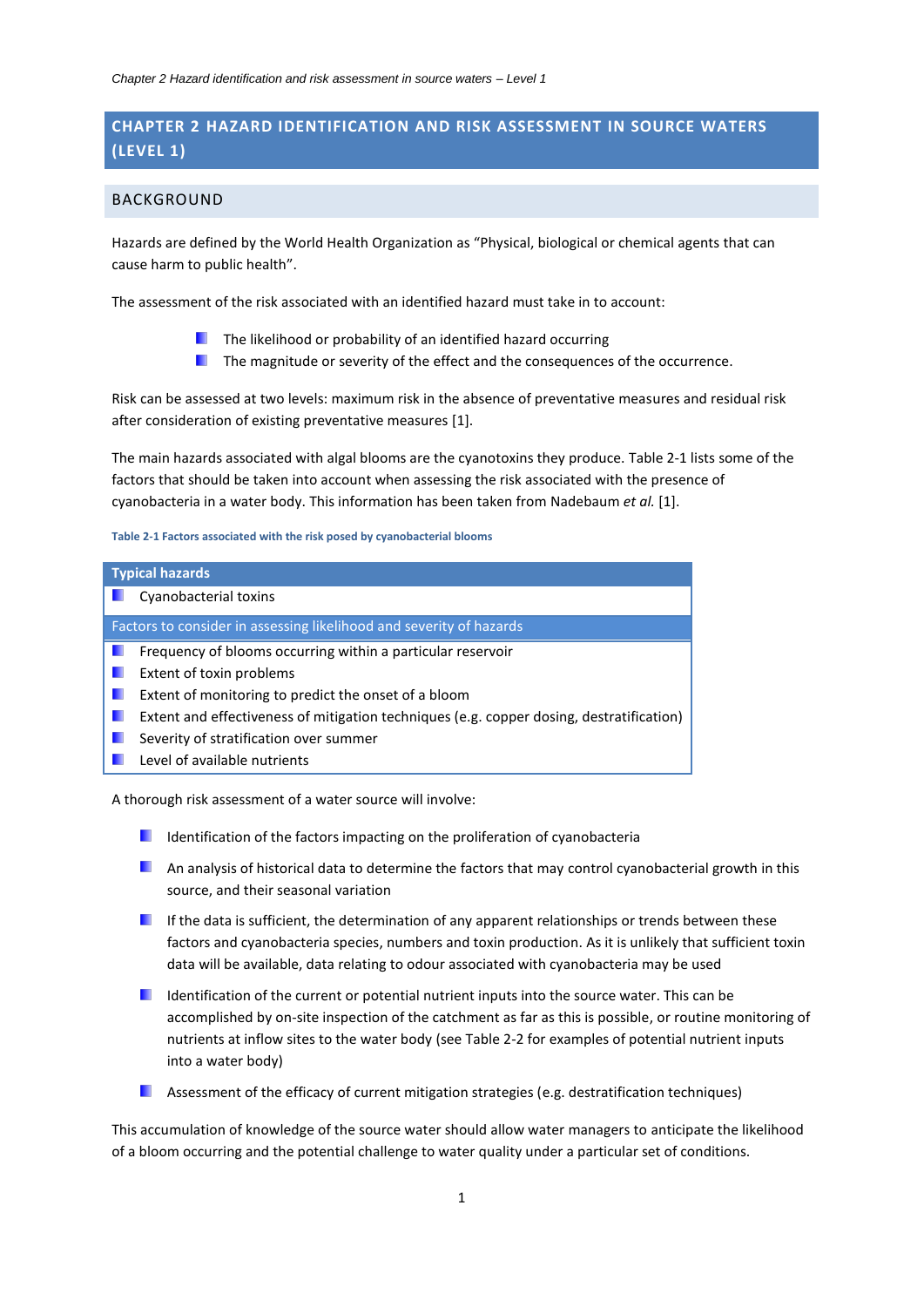## <span id="page-1-0"></span>**CHAPTER 2 HAZARD IDENTIFICATION AND RISK ASSESSMENT IN SOURCE WATERS (LEVEL 1)**

## <span id="page-1-1"></span>BACKGROUND

Hazards are defined by the World Health Organization as "Physical, biological or chemical agents that can cause harm to public health".

The assessment of the risk associated with an identified hazard must take in to account:

- $\blacksquare$  The likelihood or probability of an identified hazard occurring
- <span id="page-1-3"></span> $\blacksquare$  The magnitude or severity of the effect and the consequences of the occurrence.

Risk can be assessed at two levels: maximum risk in the absence of preventative measures and residual risk after consideration of existing preventative measures [1].

The main hazards associated with algal blooms are the cyanotoxins they produce. [Table 2-1](#page-1-2) lists some of the factors that should be taken into account when assessing the risk associated with the presence of cyanobacteria in a water body. This information has been taken from Nadebaum *et al.* [\[1\]](#page-1-3).

#### <span id="page-1-2"></span>**Table 2-1 Factors associated with the risk posed by cyanobacterial blooms**

| <b>Typical hazards</b>                                                                   |
|------------------------------------------------------------------------------------------|
| Cyanobacterial toxins                                                                    |
| Factors to consider in assessing likelihood and severity of hazards                      |
| Frequency of blooms occurring within a particular reservoir                              |
| Extent of toxin problems                                                                 |
| Extent of monitoring to predict the onset of a bloom                                     |
| Extent and effectiveness of mitigation techniques (e.g. copper dosing, destratification) |
| Severity of stratification over summer                                                   |
| Level of available nutrients                                                             |

A thorough risk assessment of a water source will involve:

- I Identification of the factors impacting on the proliferation of cyanobacteria
- **An analysis of historical data to determine the factors that may control cyanobacterial growth in this** source, and their seasonal variation
- $\blacksquare$  If the data is sufficient, the determination of any apparent relationships or trends between these factors and cyanobacteria species, numbers and toxin production. As it is unlikely that sufficient toxin data will be available, data relating to odour associated with cyanobacteria may be used
- Identification of the current or potential nutrient inputs into the source water. This can be accomplished by on-site inspection of the catchment as far as this is possible, or routine monitoring of nutrients at inflow sites to the water body (see Table 2-2 for examples of potential nutrient inputs into a water body)
- **Assessment of the efficacy of current mitigation strategies (e.g. destratification techniques)**

This accumulation of knowledge of the source water should allow water managers to anticipate the likelihood of a bloom occurring and the potential challenge to water quality under a particular set of conditions.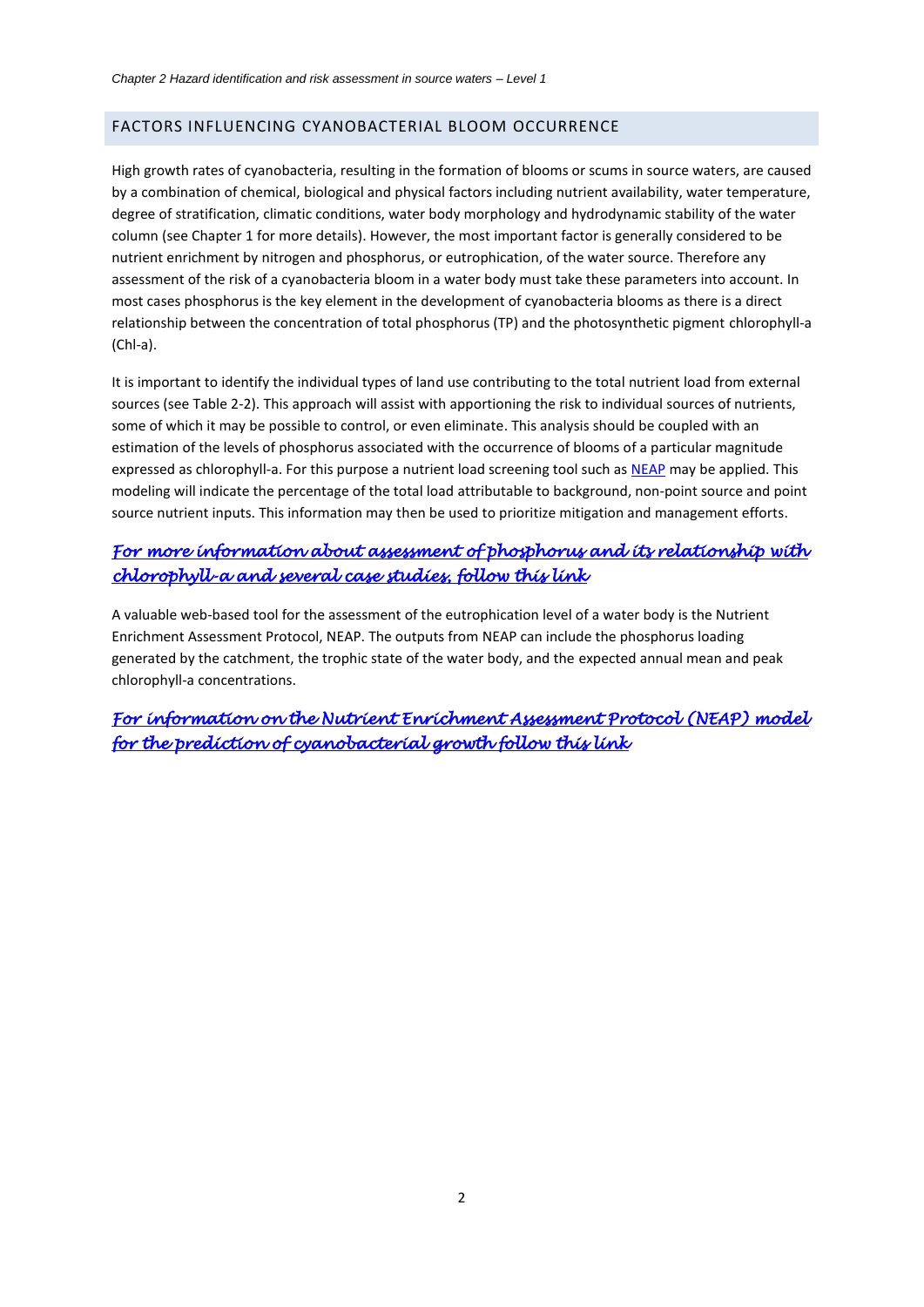## <span id="page-2-0"></span>FACTORS INFLUENCING CYANOBACTERIAL BLOOM OCCURRENCE

High growth rates of cyanobacteria, resulting in the formation of blooms or scums in source waters, are caused by a combination of chemical, biological and physical factors including nutrient availability, water temperature, degree of stratification, climatic conditions, water body morphology and hydrodynamic stability of the water column (see Chapter 1 for more details). However, the most important factor is generally considered to be nutrient enrichment by nitrogen and phosphorus, or eutrophication, of the water source. Therefore any assessment of the risk of a cyanobacteria bloom in a water body must take these parameters into account. In most cases phosphorus is the key element in the development of cyanobacteria blooms as there is a direct relationship between the concentration of total phosphorus (TP) and the photosynthetic pigment chlorophyll-a (Chl-a).

It is important to identify the individual types of land use contributing to the total nutrient load from external sources (see Table 2-2). This approach will assist with apportioning the risk to individual sources of nutrients, some of which it may be possible to control, or even eliminate. This analysis should be coupled with an estimation of the levels of phosphorus associated with the occurrence of blooms of a particular magnitude expressed as chlorophyll-a. For this purpose a nutrient load screening tool such as [NEAP](#page-13-0) may be applied. This modeling will indicate the percentage of the total load attributable to background, non-point source and point source nutrient inputs. This information may then be used to prioritize mitigation and management efforts.

## <span id="page-2-1"></span>*[For more information about assessment of phosphorus and its relationship with](#page-9-2)  [chlorophyll-a and several case studies, follow this link](#page-9-2)*

A valuable web-based tool for the assessment of the eutrophication level of a water body is the Nutrient Enrichment Assessment Protocol, NEAP. The outputs from NEAP can include the phosphorus loading generated by the catchment, the trophic state of the water body, and the expected annual mean and peak chlorophyll-a concentrations.

*[For information on the Nutrient Enrichment Assessment Protocol \(NEAP\) model](#page-13-0)  [for the prediction of cyanobacterial growth follow this link](#page-13-0)*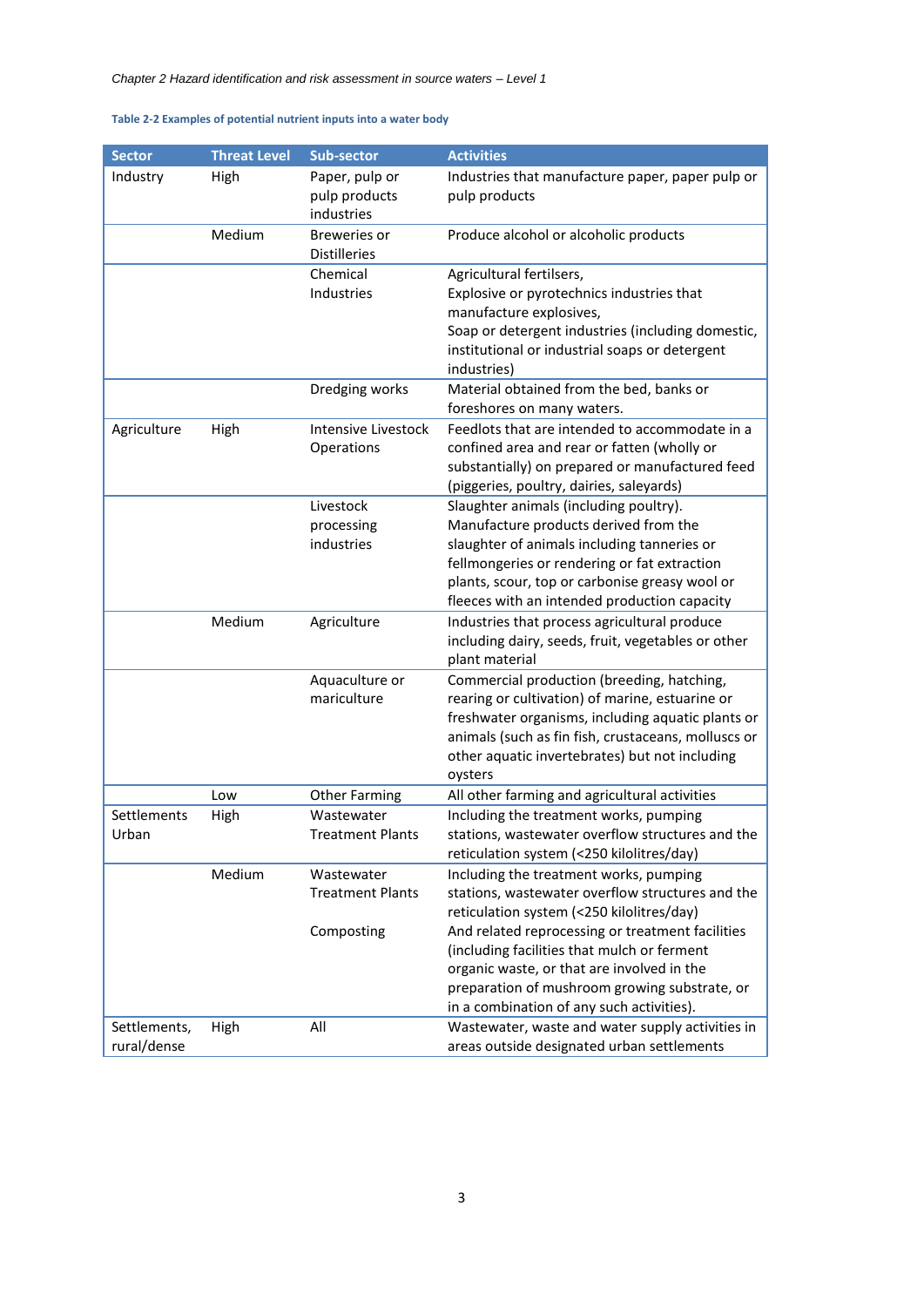## **Table 2-2 Examples of potential nutrient inputs into a water body**

| <b>Sector</b> | <b>Threat Level</b> | Sub-sector                            | <b>Activities</b>                                                                                   |
|---------------|---------------------|---------------------------------------|-----------------------------------------------------------------------------------------------------|
| Industry      | High                | Paper, pulp or                        | Industries that manufacture paper, paper pulp or                                                    |
|               |                     | pulp products                         | pulp products                                                                                       |
|               | Medium              | industries<br><b>Breweries or</b>     | Produce alcohol or alcoholic products                                                               |
|               |                     | <b>Distilleries</b>                   |                                                                                                     |
|               |                     | Chemical                              | Agricultural fertilsers,                                                                            |
|               |                     | Industries                            | Explosive or pyrotechnics industries that                                                           |
|               |                     |                                       | manufacture explosives,                                                                             |
|               |                     |                                       | Soap or detergent industries (including domestic,<br>institutional or industrial soaps or detergent |
|               |                     |                                       | industries)                                                                                         |
|               |                     | Dredging works                        | Material obtained from the bed, banks or                                                            |
|               |                     |                                       | foreshores on many waters.                                                                          |
| Agriculture   | High                | Intensive Livestock                   | Feedlots that are intended to accommodate in a                                                      |
|               |                     | Operations                            | confined area and rear or fatten (wholly or                                                         |
|               |                     |                                       | substantially) on prepared or manufactured feed<br>(piggeries, poultry, dairies, saleyards)         |
|               |                     | Livestock                             | Slaughter animals (including poultry).                                                              |
|               |                     | processing                            | Manufacture products derived from the                                                               |
|               |                     | industries                            | slaughter of animals including tanneries or                                                         |
|               |                     |                                       | fellmongeries or rendering or fat extraction                                                        |
|               |                     |                                       | plants, scour, top or carbonise greasy wool or                                                      |
|               |                     |                                       | fleeces with an intended production capacity                                                        |
|               | Medium              | Agriculture                           | Industries that process agricultural produce                                                        |
|               |                     |                                       | including dairy, seeds, fruit, vegetables or other                                                  |
|               |                     |                                       | plant material                                                                                      |
|               |                     | Aquaculture or<br>mariculture         | Commercial production (breeding, hatching,<br>rearing or cultivation) of marine, estuarine or       |
|               |                     |                                       | freshwater organisms, including aquatic plants or                                                   |
|               |                     |                                       | animals (such as fin fish, crustaceans, molluscs or                                                 |
|               |                     |                                       | other aquatic invertebrates) but not including                                                      |
|               |                     |                                       | oysters                                                                                             |
|               | Low                 | <b>Other Farming</b>                  | All other farming and agricultural activities                                                       |
| Settlements   | High                | Wastewater                            | Including the treatment works, pumping                                                              |
| Urban         |                     | <b>Treatment Plants</b>               | stations, wastewater overflow structures and the                                                    |
|               |                     |                                       | reticulation system (<250 kilolitres/day)                                                           |
|               | Medium              | Wastewater<br><b>Treatment Plants</b> | Including the treatment works, pumping<br>stations, wastewater overflow structures and the          |
|               |                     |                                       | reticulation system (<250 kilolitres/day)                                                           |
|               |                     | Composting                            | And related reprocessing or treatment facilities                                                    |
|               |                     |                                       | (including facilities that mulch or ferment                                                         |
|               |                     |                                       | organic waste, or that are involved in the                                                          |
|               |                     |                                       | preparation of mushroom growing substrate, or                                                       |
|               |                     |                                       | in a combination of any such activities).                                                           |
| Settlements,  | High                | All                                   | Wastewater, waste and water supply activities in                                                    |
| rural/dense   |                     |                                       | areas outside designated urban settlements                                                          |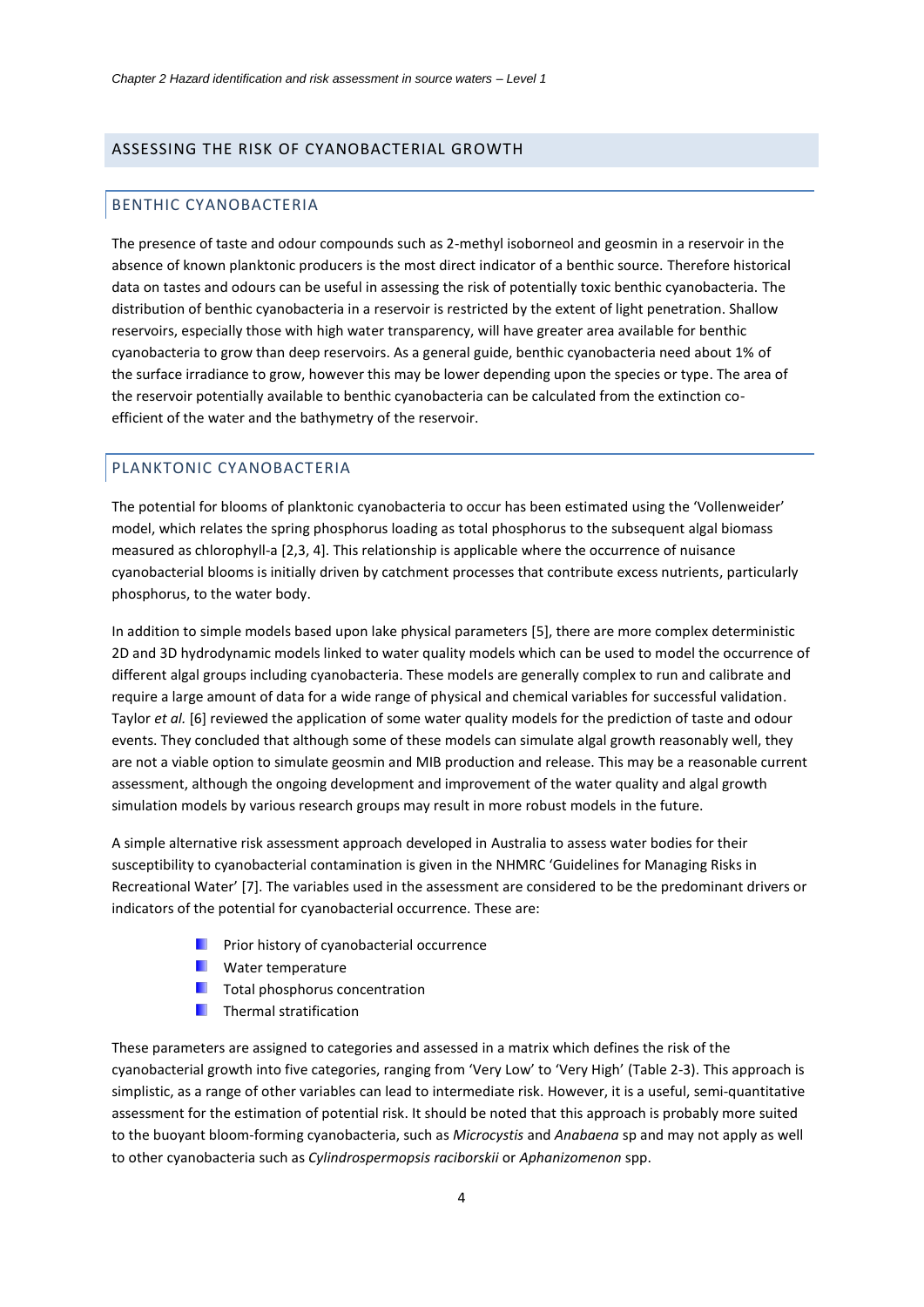## <span id="page-4-1"></span><span id="page-4-0"></span>ASSESSING THE RISK OF CYANOBACTERIAL GROWTH

#### BENTHIC CYANOBACTERIA

The presence of taste and odour compounds such as 2-methyl isoborneol and geosmin in a reservoir in the absence of known planktonic producers is the most direct indicator of a benthic source. Therefore historical data on tastes and odours can be useful in assessing the risk of potentially toxic benthic cyanobacteria. The distribution of benthic cyanobacteria in a reservoir is restricted by the extent of light penetration. Shallow reservoirs, especially those with high water transparency, will have greater area available for benthic cyanobacteria to grow than deep reservoirs. As a general guide, benthic cyanobacteria need about 1% of the surface irradiance to grow, however this may be lower depending upon the species or type. The area of the reservoir potentially available to benthic cyanobacteria can be calculated from the extinction coefficient of the water and the bathymetry of the reservoir.

#### <span id="page-4-4"></span><span id="page-4-3"></span><span id="page-4-2"></span>PLANKTONIC CYANOBACTERIA

The potential for blooms of planktonic cyanobacteria to occur has been estimated using the 'Vollenweider' model, which relates the spring phosphorus loading as total phosphorus to the subsequent algal biomass measured as chlorophyll-a [2,3, 4]. This relationship is applicable where the occurrence of nuisance cyanobacterial blooms is initially driven by catchment processes that contribute excess nutrients, particularly phosphorus, to the water body.

In addition to simple models based upon lake physical parameters [5], there are more complex deterministic 2D and 3D hydrodynamic models linked to water quality models which can be used to model the occurrence of different algal groups including cyanobacteria. These models are generally complex to run and calibrate and require a large amount of data for a wide range of physical and chemical variables for successful validation. Taylor *et al.* [6] reviewed the application of some water quality models for the prediction of taste and odour events. They concluded that although some of these models can simulate algal growth reasonably well, they are not a viable option to simulate geosmin and MIB production and release. This may be a reasonable current assessment, although the ongoing development and improvement of the water quality and algal growth simulation models by various research groups may result in more robust models in the future.

A simple alternative risk assessment approach developed in Australia to assess water bodies for their susceptibility to cyanobacterial contamination is given in the NHMRC 'Guidelines for Managing Risks in Recreational Water' [7]. The variables used in the assessment are considered to be the predominant drivers or indicators of the potential for cyanobacterial occurrence. These are:

- **Part Frior history of cyanobacterial occurrence**
- **N** Water temperature
- $\blacksquare$  Total phosphorus concentration
- **Thermal stratification**

These parameters are assigned to categories and assessed in a matrix which defines the risk of the cyanobacterial growth into five categories, ranging from 'Very Low' to 'Very High' [\(Table 2-3\)](#page-5-1). This approach is simplistic, as a range of other variables can lead to intermediate risk. However, it is a useful, semi-quantitative assessment for the estimation of potential risk. It should be noted that this approach is probably more suited to the buoyant bloom-forming cyanobacteria, such as *Microcystis* and *Anabaena* sp and may not apply as well to other cyanobacteria such as *Cylindrospermopsis raciborskii* or *Aphanizomenon* spp.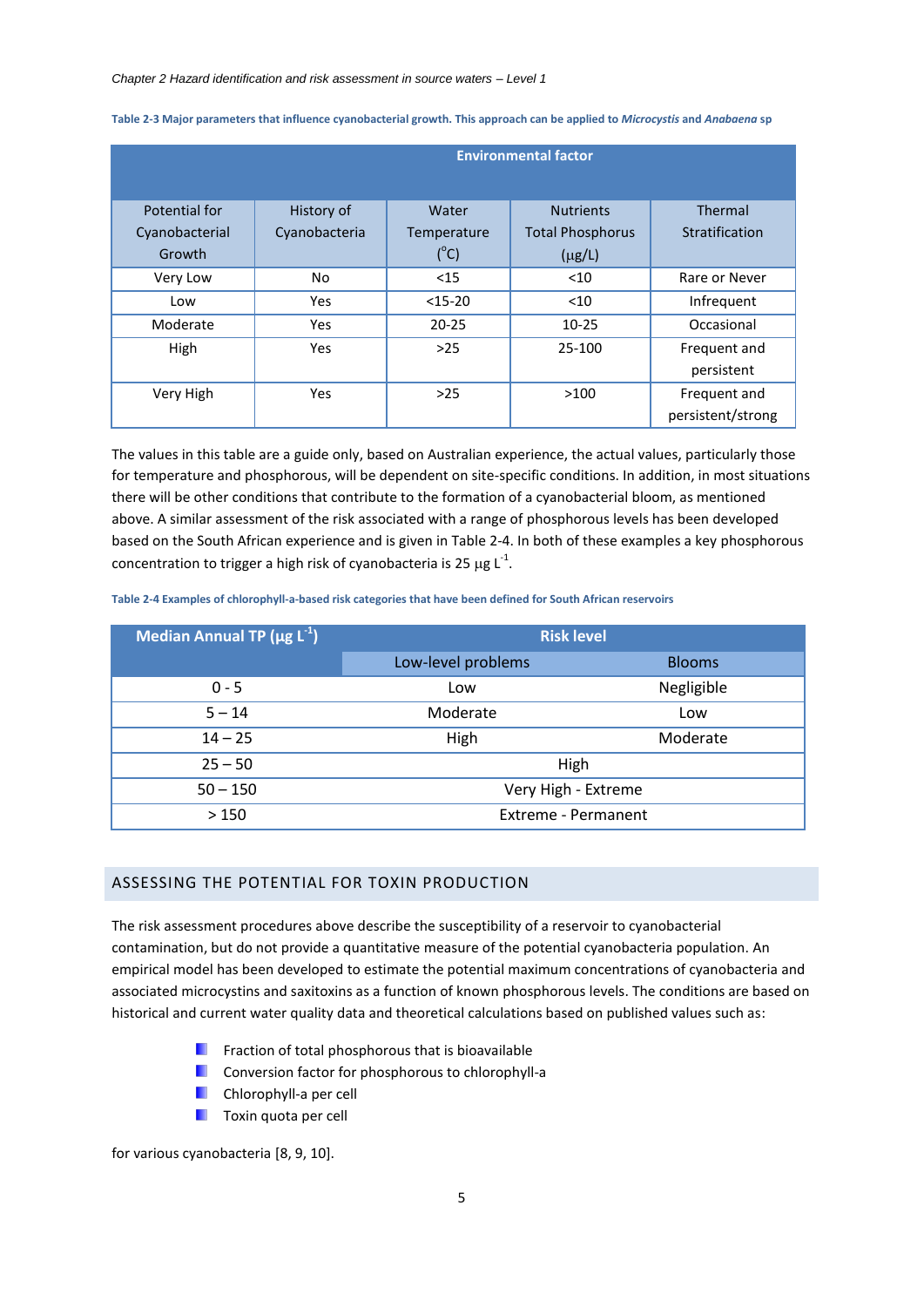|                | <b>Environmental factor</b> |               |                         |                   |  |  |  |  |  |  |  |  |
|----------------|-----------------------------|---------------|-------------------------|-------------------|--|--|--|--|--|--|--|--|
|                |                             |               |                         |                   |  |  |  |  |  |  |  |  |
| Potential for  | History of                  | Water         | <b>Nutrients</b>        | Thermal           |  |  |  |  |  |  |  |  |
| Cyanobacterial | Cyanobacteria               | Temperature   | <b>Total Phosphorus</b> | Stratification    |  |  |  |  |  |  |  |  |
| Growth         |                             | $(^{\circ}C)$ | $(\mu g/L)$             |                   |  |  |  |  |  |  |  |  |
| Very Low       | No.                         | $15$          | $<$ 10                  | Rare or Never     |  |  |  |  |  |  |  |  |
| Low            | Yes                         | $<$ 15-20     | $<$ 10                  | Infrequent        |  |  |  |  |  |  |  |  |
| Moderate       | Yes                         | $20 - 25$     | $10 - 25$               | Occasional        |  |  |  |  |  |  |  |  |
| High           | Yes                         | $>25$         | 25-100                  | Frequent and      |  |  |  |  |  |  |  |  |
|                |                             |               |                         | persistent        |  |  |  |  |  |  |  |  |
| Very High      | <b>Yes</b>                  | $>25$         | >100                    | Frequent and      |  |  |  |  |  |  |  |  |
|                |                             |               |                         | persistent/strong |  |  |  |  |  |  |  |  |

<span id="page-5-1"></span>**Table 2-3 Major parameters that influence cyanobacterial growth. This approach can be applied to** *Microcystis* **and** *Anabaena* **sp**

The values in this table are a guide only, based on Australian experience, the actual values, particularly those for temperature and phosphorous, will be dependent on site-specific conditions. In addition, in most situations there will be other conditions that contribute to the formation of a cyanobacterial bloom, as mentioned above. A similar assessment of the risk associated with a range of phosphorous levels has been developed based on the South African experience and is given in [Table 2-4.](#page-5-2) In both of these examples a key phosphorous concentration to trigger a high risk of cyanobacteria is 25  $\mu$ g L<sup>-1</sup>.

<span id="page-5-2"></span>**Table 2-4 Examples of chlorophyll-a-based risk categories that have been defined for South African reservoirs**

| Median Annual TP ( $\mu$ g L <sup>-1</sup> ) | <b>Risk level</b>          |               |
|----------------------------------------------|----------------------------|---------------|
|                                              | Low-level problems         | <b>Blooms</b> |
| $0 - 5$                                      | Low                        | Negligible    |
| $5 - 14$                                     | Moderate                   | Low           |
| $14 - 25$                                    | High                       | Moderate      |
| $25 - 50$                                    | High                       |               |
| $50 - 150$                                   | Very High - Extreme        |               |
| >150                                         | <b>Extreme - Permanent</b> |               |

## <span id="page-5-0"></span>ASSESSING THE POTENTIAL FOR TOXIN PRODUCTION

The risk assessment procedures above describe the susceptibility of a reservoir to cyanobacterial contamination, but do not provide a quantitative measure of the potential cyanobacteria population. An empirical model has been developed to estimate the potential maximum concentrations of cyanobacteria and associated microcystins and saxitoxins as a function of known phosphorous levels. The conditions are based on historical and current water quality data and theoretical calculations based on published values such as:

- **Fig. 3** Fraction of total phosphorous that is bioavailable
- <span id="page-5-4"></span><span id="page-5-3"></span>Conversion factor for phosphorous to chlorophyll*-*a
- **Chlorophyll-a per cell**
- **Toxin quota per cell**

for various cyanobacteria [8, 9, 10].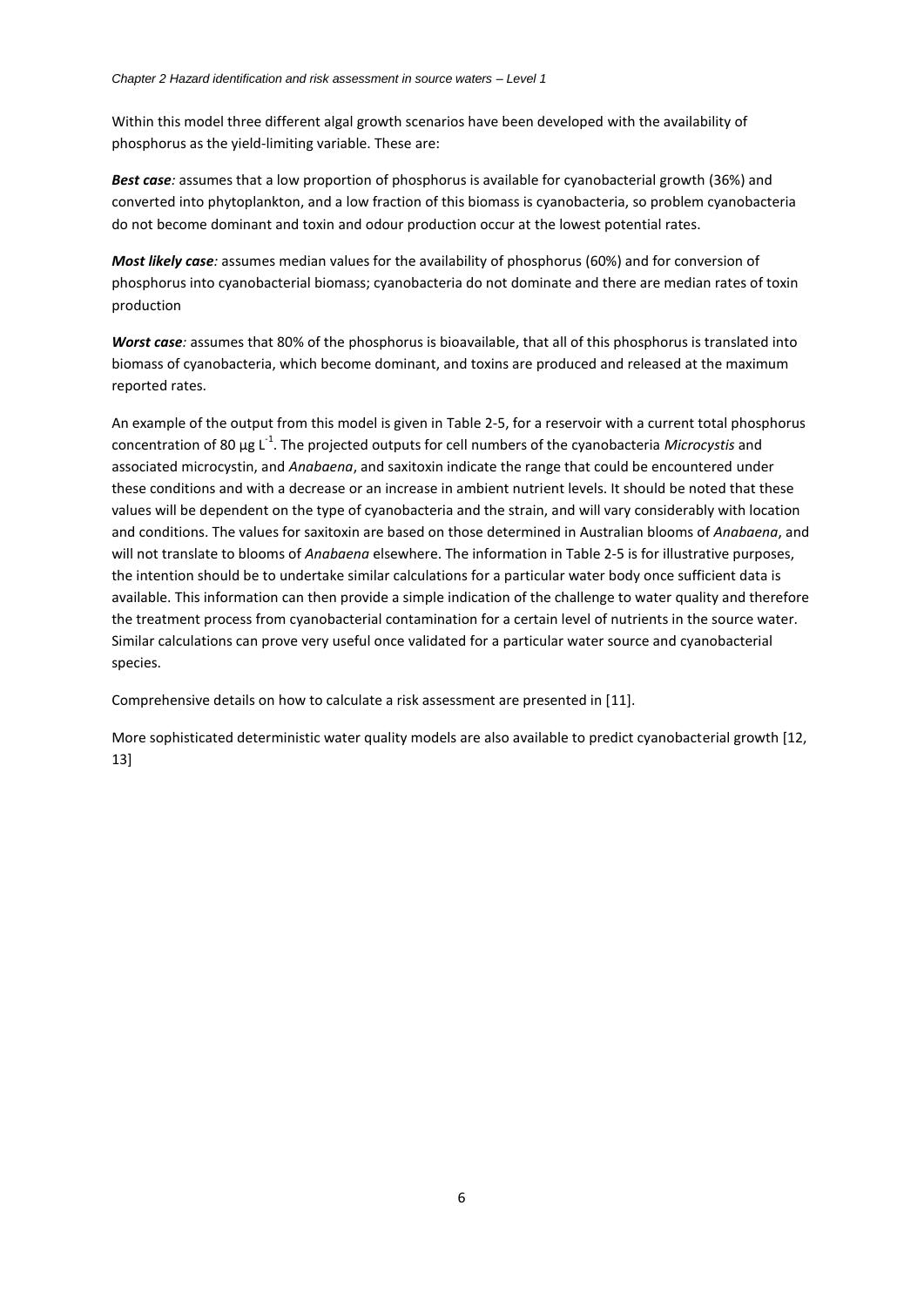Within this model three different algal growth scenarios have been developed with the availability of phosphorus as the yield-limiting variable. These are:

*Best case:* assumes that a low proportion of phosphorus is available for cyanobacterial growth (36%) and converted into phytoplankton, and a low fraction of this biomass is cyanobacteria, so problem cyanobacteria do not become dominant and toxin and odour production occur at the lowest potential rates.

*Most likely case:* assumes median values for the availability of phosphorus (60%) and for conversion of phosphorus into cyanobacterial biomass; cyanobacteria do not dominate and there are median rates of toxin production

*Worst case:* assumes that 80% of the phosphorus is bioavailable, that all of this phosphorus is translated into biomass of cyanobacteria, which become dominant, and toxins are produced and released at the maximum reported rates.

An example of the output from this model is given in [Table 2-5,](#page-7-0) for a reservoir with a current total phosphorus concentration of 80 μg L<sup>-1</sup>. The projected outputs for cell numbers of the cyanobacteria *Microcystis* and associated microcystin, and *Anabaena*, and saxitoxin indicate the range that could be encountered under these conditions and with a decrease or an increase in ambient nutrient levels. It should be noted that these values will be dependent on the type of cyanobacteria and the strain, and will vary considerably with location and conditions. The values for saxitoxin are based on those determined in Australian blooms of *Anabaena*, and will not translate to blooms of *Anabaena* elsewhere. The information in [Table 2-5](#page-7-0) is for illustrative purposes, the intention should be to undertake similar calculations for a particular water body once sufficient data is available. This information can then provide a simple indication of the challenge to water quality and therefore the treatment process from cyanobacterial contamination for a certain level of nutrients in the source water. Similar calculations can prove very useful once validated for a particular water source and cyanobacterial species.

Comprehensive details on how to calculate a risk assessment are presented in [11].

More sophisticated deterministic water quality models are also available to predict cyanobacterial growth [12, 13]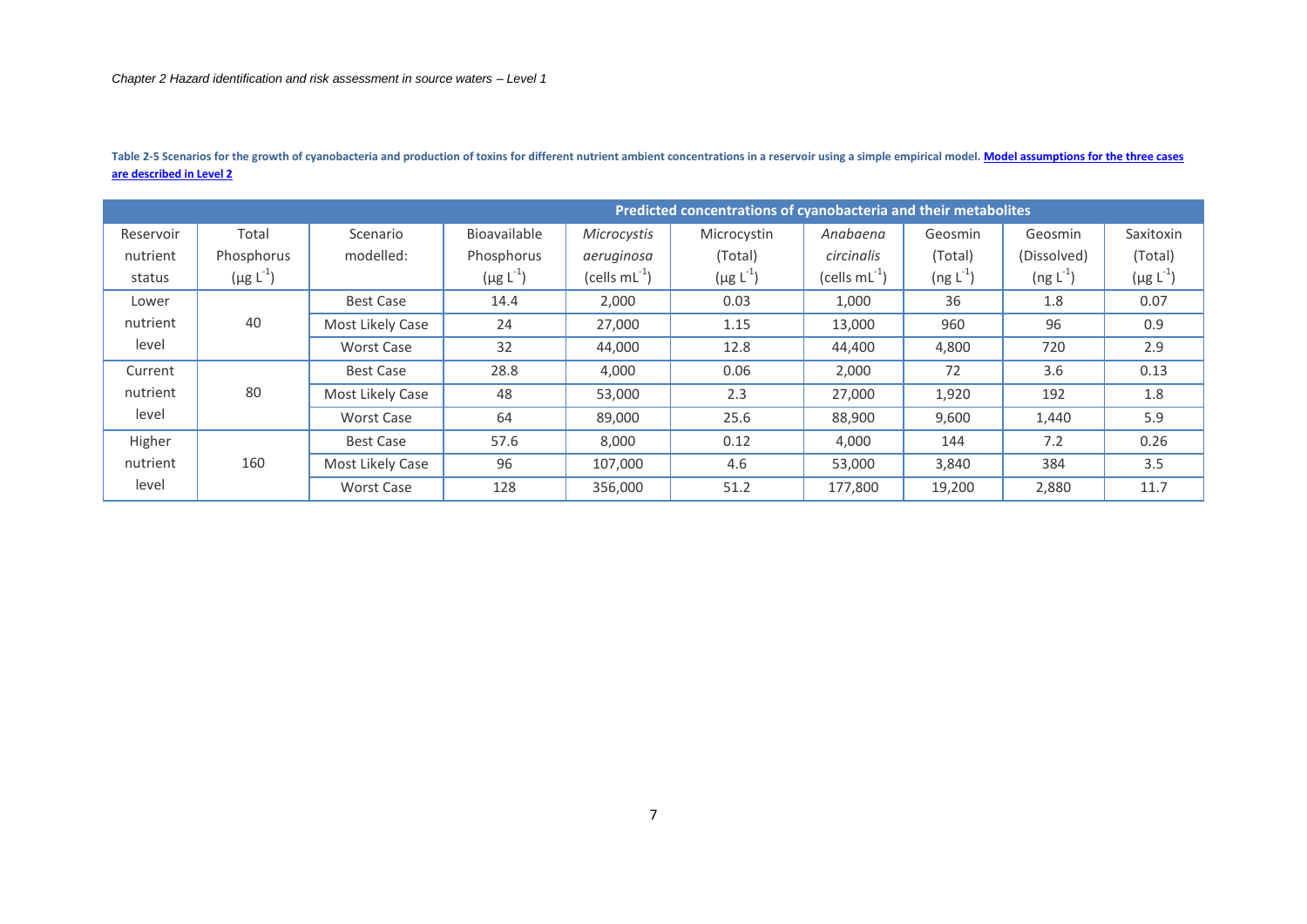<span id="page-7-0"></span>

|           |                  |                  |                  |                    | Predicted concentrations of cyanobacteria and their metabolites |                    |                          |                          |                  |
|-----------|------------------|------------------|------------------|--------------------|-----------------------------------------------------------------|--------------------|--------------------------|--------------------------|------------------|
| Reservoir | Total            | Scenario         | Bioavailable     | Microcystis        | Microcystin                                                     | Anabaena           | Geosmin                  | Geosmin                  | Saxitoxin        |
| nutrient  | Phosphorus       | modelled:        | Phosphorus       | aeruginosa         | (Total)                                                         | circinalis         | (Total)                  | (Dissolved)              | (Total)          |
| status    | $(\mu g L^{-1})$ |                  | $(\mu g L^{-1})$ | (cells $mL^{-1}$ ) | $(\mu g L^{-1})$                                                | (cells $mL^{-1}$ ) | $($ ng L <sup>-1</sup> ) | $($ ng L <sup>-1</sup> ) | $(\mu g L^{-1})$ |
| Lower     |                  | <b>Best Case</b> | 14.4             | 2,000              | 0.03                                                            | 1,000              | 36                       | 1.8                      | 0.07             |
| nutrient  | 40               | Most Likely Case | 24               | 27,000             | 1.15                                                            | 13,000             | 960                      | 96                       | 0.9              |
| level     |                  | Worst Case       | 32               | 44,000             | 12.8                                                            | 44,400             | 4,800                    | 720                      | 2.9              |
| Current   |                  | Best Case        | 28.8             | 4,000              | 0.06                                                            | 2,000              | 72                       | 3.6                      | 0.13             |
| nutrient  | 80               | Most Likely Case | 48               | 53,000             | 2.3                                                             | 27,000             | 1,920                    | 192                      | 1.8              |
| level     |                  | Worst Case       | 64               | 89,000             | 25.6                                                            | 88,900             | 9,600                    | 1,440                    | 5.9              |
| Higher    |                  | Best Case        | 57.6             | 8,000              | 0.12                                                            | 4,000              | 144                      | 7.2                      | 0.26             |
| nutrient  | 160              | Most Likely Case | 96               | 107.000            | 4.6                                                             | 53,000             | 3,840                    | 384                      | 3.5              |
| level     |                  | Worst Case       | 128              | 356.000            | 51.2                                                            | 177,800            | 19,200                   | 2,880                    | 11.7             |

Table 2-5 Scenarios for the growth of cyanobacteria and production of toxins for different nutrient ambient concentrations in a reservoir using a simple empirical model. Model assumptions for the three cases **[are described in Level 2](#page-17-2)**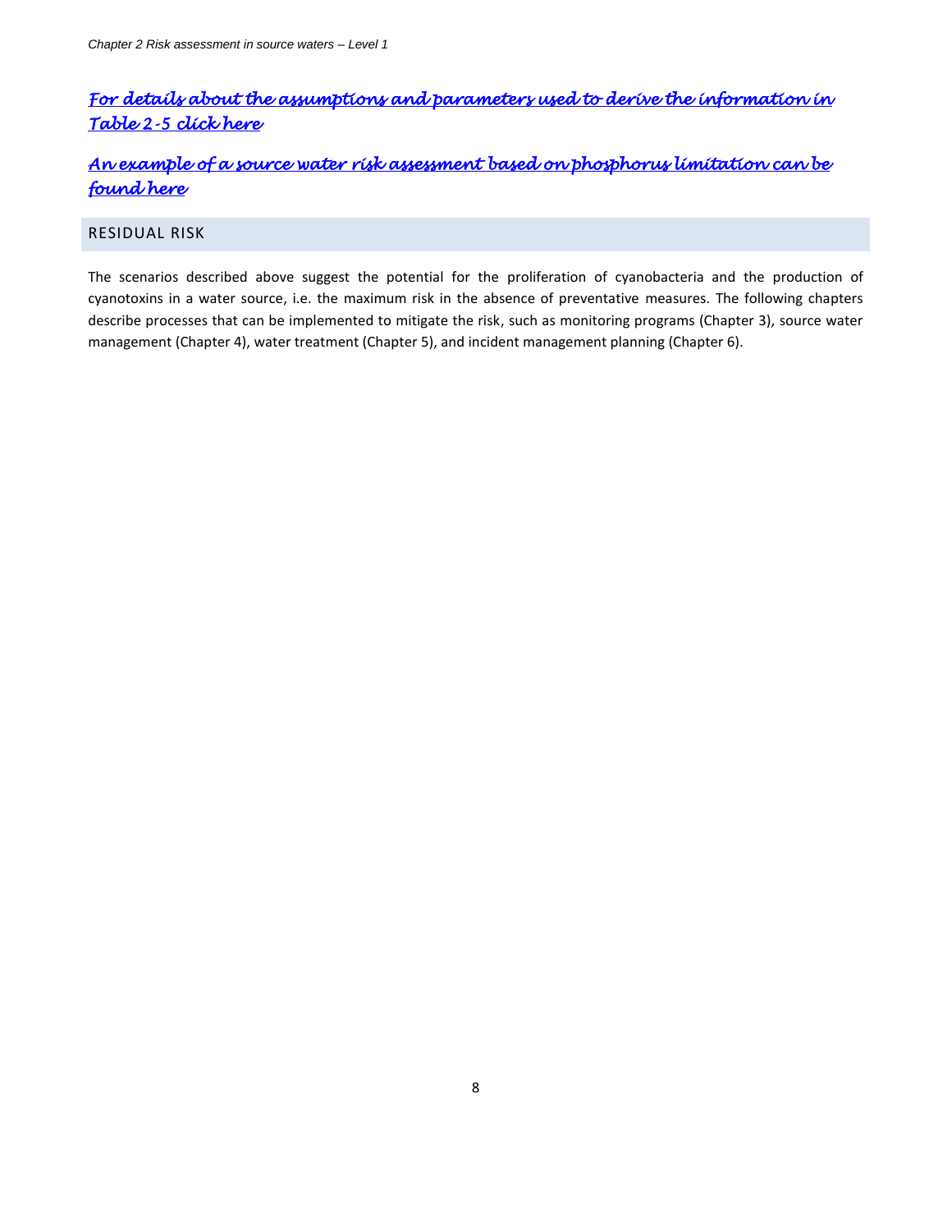# <span id="page-8-2"></span>*[For details about the assumptions and parameters used to derive the information in](#page-17-3)  [Table 2-5 click here](#page-17-3)*

# *[An example of a source water risk assessment based on phosphorus limitation can be](#page-19-1)  [found here](#page-19-1)*

## <span id="page-8-1"></span>RESIDUAL RISK

<span id="page-8-0"></span>The scenarios described above suggest the potential for the proliferation of cyanobacteria and the production of cyanotoxins in a water source, i.e. the maximum risk in the absence of preventative measures. The following chapters describe processes that can be implemented to mitigate the risk, such as monitoring programs (Chapter 3), source water management (Chapter 4), water treatment (Chapter 5), and incident management planning (Chapter 6).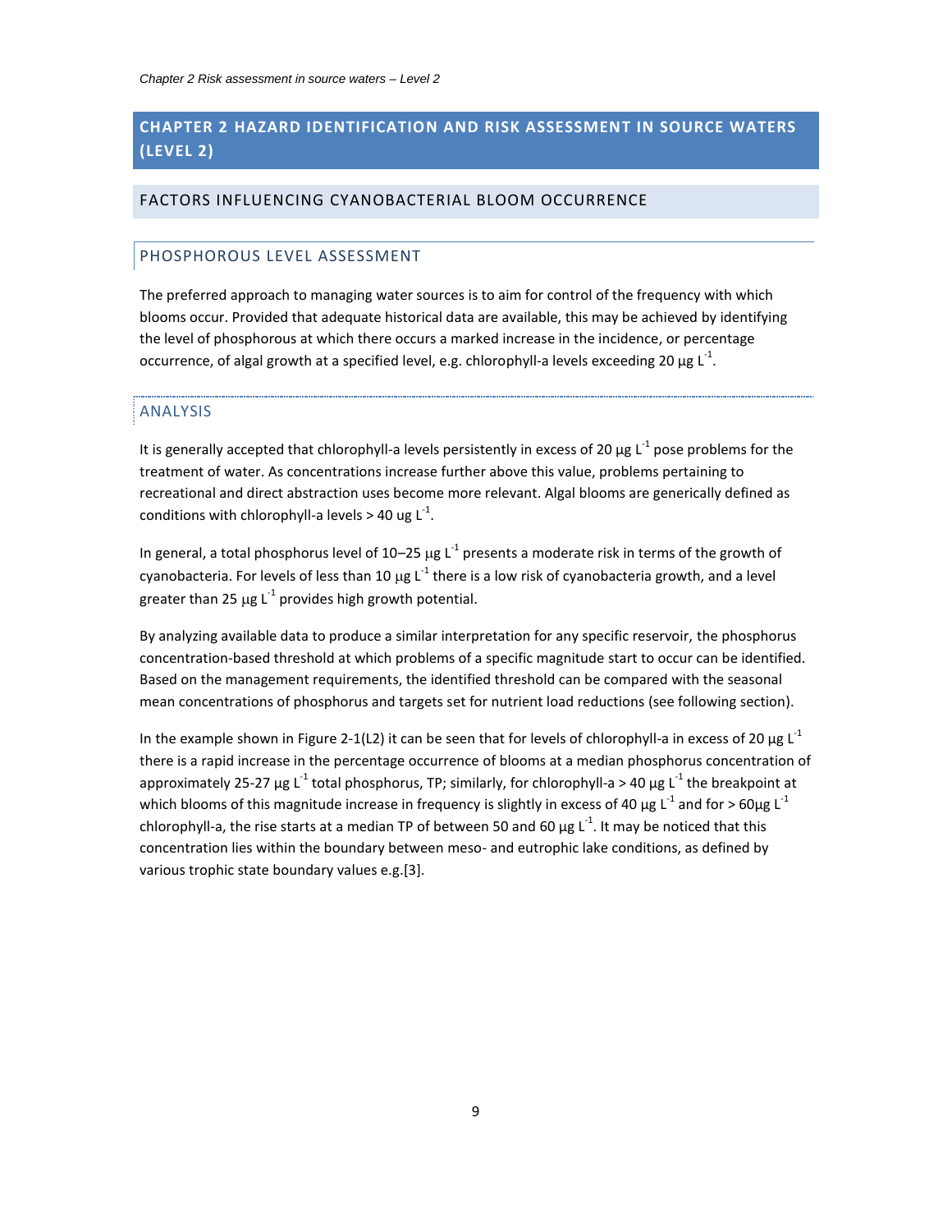## **CHAPTER 2 HAZARD IDENTIFICATION AND RISK ASSESSMENT IN SOURCE WATERS (LEVEL 2)**

## <span id="page-9-0"></span>FACTORS INFLUENCING CYANOBACTERIAL BLOOM OCCURRENCE

## <span id="page-9-1"></span>PHOSPHOROUS LEVEL ASSESSMENT

<span id="page-9-2"></span>The preferred approach to managing water sources is to aim for control of the frequency with which blooms occur. Provided that adequate historical data are available, this may be achieved by identifying the level of phosphorous at which there occurs a marked increase in the incidence, or percentage occurrence, of algal growth at a specified level, e.g. chlorophyll-a levels exceeding 20 μg L<sup>-1</sup>.

#### ANALYSIS

It is generally accepted that chlorophyll-a levels persistently in excess of 20  $\mu$ g L<sup>-1</sup> pose problems for the treatment of water. As concentrations increase further above this value, problems pertaining to recreational and direct abstraction uses become more relevant. Algal blooms are generically defined as conditions with chlorophyll-a levels > 40 ug  $L^{-1}$ .

In general, a total phosphorus level of 10–25  $\mu$ g L<sup>-1</sup> presents a moderate risk in terms of the growth of cyanobacteria. For levels of less than 10  $\mu$ g L<sup>-1</sup> there is a low risk of cyanobacteria growth, and a level greater than 25  $\mu$ g L<sup>-1</sup> provides high growth potential.

By analyzing available data to produce a similar interpretation for any specific reservoir, the phosphorus concentration-based threshold at which problems of a specific magnitude start to occur can be identified. Based on the management requirements, the identified threshold can be compared with the seasonal mean concentrations of phosphorus and targets set for nutrient load reductions (see following section).

In the example shown in [Figure 2-1\(](#page-10-0)L2) it can be seen that for levels of chlorophyll-a in excess of 20  $\mu$ g L<sup>-1</sup> there is a rapid increase in the percentage occurrence of blooms at a median phosphorus concentration of approximately 25-27 μg L<sup>-1</sup> total phosphorus, TP; similarly, for chlorophyll-a > 40 μg L<sup>-1</sup> the breakpoint at which blooms of this magnitude increase in frequency is slightly in excess of 40  $\mu$ g L<sup>-1</sup> and for > 60 $\mu$ g L<sup>-1</sup> chlorophyll-a, the rise starts at a median TP of between 50 and 60  $\mu$ g L<sup>-1</sup>. It may be noticed that this concentration lies within the boundary between meso- and eutrophic lake conditions, as defined by various trophic state boundary values e.g.[\[3\]](#page-4-3).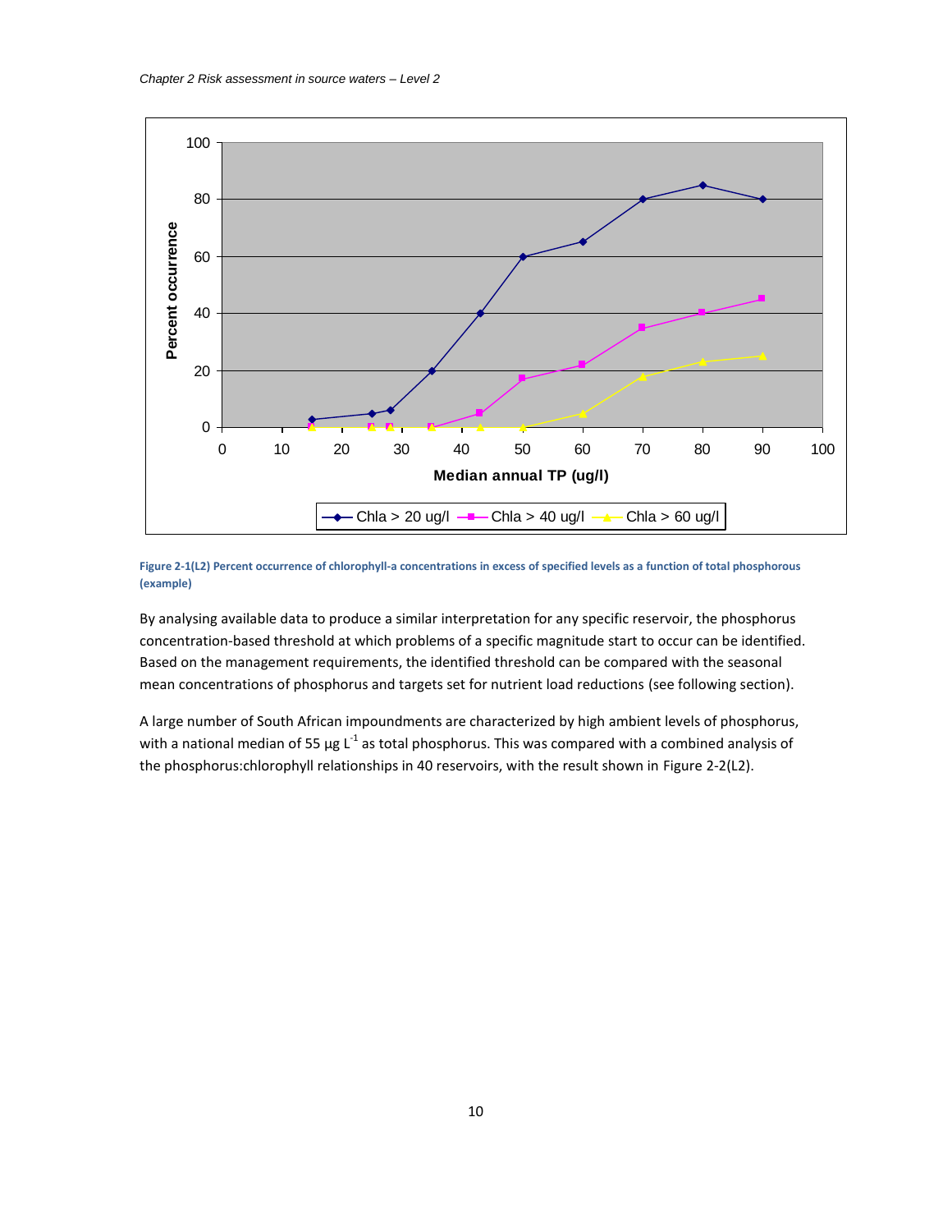

<span id="page-10-0"></span>**Figure 2-1(L2) Percent occurrence of chlorophyll-a concentrations in excess of specified levels as a function of total phosphorous (example)**

By analysing available data to produce a similar interpretation for any specific reservoir, the phosphorus concentration-based threshold at which problems of a specific magnitude start to occur can be identified. Based on the management requirements, the identified threshold can be compared with the seasonal mean concentrations of phosphorus and targets set for nutrient load reductions (see following section).

A large number of South African impoundments are characterized by high ambient levels of phosphorus, with a national median of 55  $\mu$ g L<sup>-1</sup> as total phosphorus. This was compared with a combined analysis of the phosphorus:chlorophyll relationships in 40 reservoirs, with the result shown in [Figure 2-2\(](#page-11-0)L2).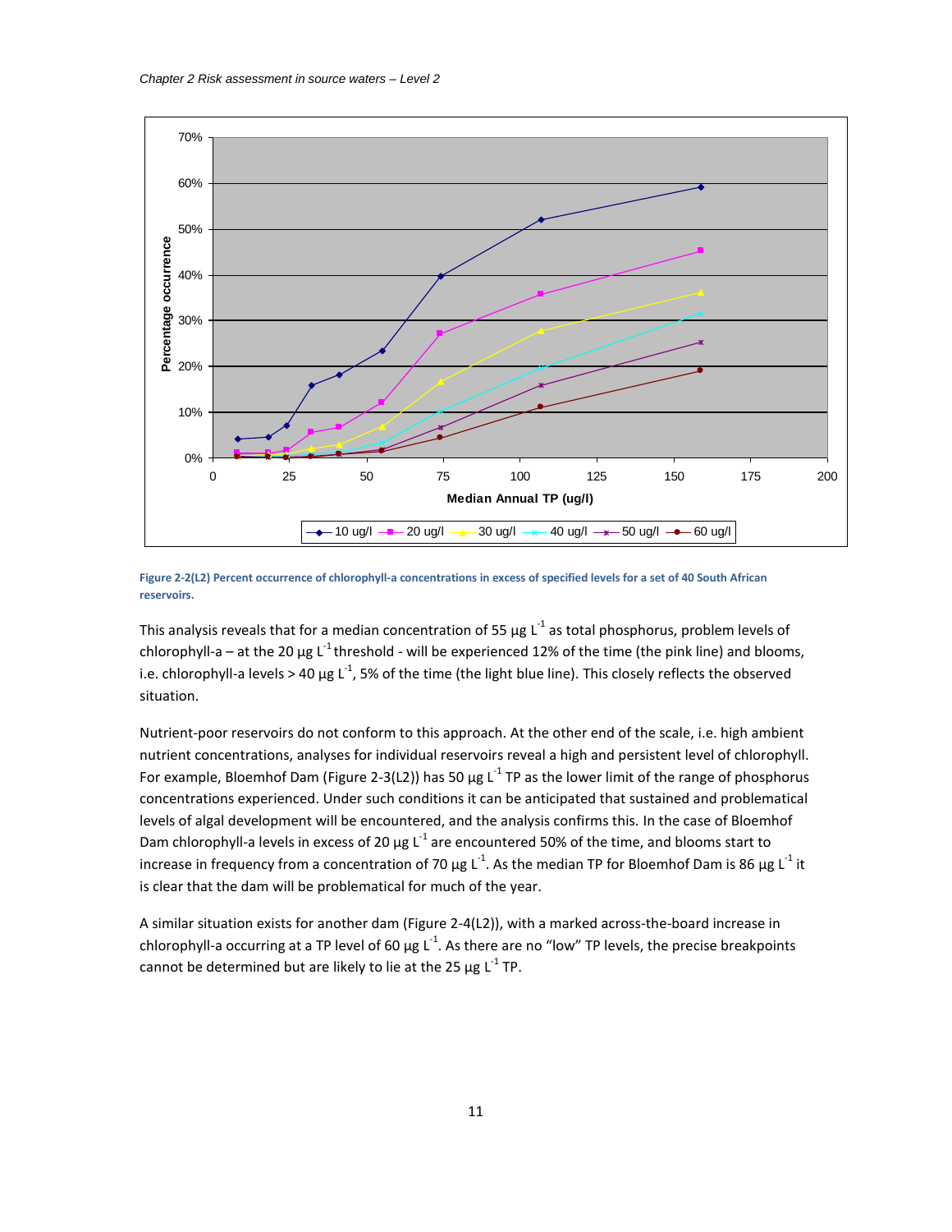

<span id="page-11-0"></span>**Figure 2-2(L2) Percent occurrence of chlorophyll-a concentrations in excess of specified levels for a set of 40 South African reservoirs.**

This analysis reveals that for a median concentration of 55  $\mu$ g L<sup>-1</sup> as total phosphorus, problem levels of chlorophyll-a – at the 20  $\mu$ g L<sup>-1</sup> threshold - will be experienced 12% of the time (the pink line) and blooms, i.e. chlorophyll-a levels > 40  $\mu$ g L<sup>-1</sup>, 5% of the time (the light blue line). This closely reflects the observed situation.

Nutrient-poor reservoirs do not conform to this approach. At the other end of the scale, i.e. high ambient nutrient concentrations, analyses for individual reservoirs reveal a high and persistent level of chlorophyll. For example, Bloemhof Dam [\(Figure 2-3\(](#page-12-0)L2)) has 50  $\mu$ g L<sup>-1</sup> TP as the lower limit of the range of phosphorus concentrations experienced. Under such conditions it can be anticipated that sustained and problematical levels of algal development will be encountered, and the analysis confirms this. In the case of Bloemhof Dam chlorophyll-a levels in excess of 20  $\mu$ g L<sup>-1</sup> are encountered 50% of the time, and blooms start to increase in frequency from a concentration of 70 μg L<sup>-1</sup>. As the median TP for Bloemhof Dam is 86 μg L<sup>-1</sup> it is clear that the dam will be problematical for much of the year.

A similar situation exists for another dam [\(Figure 2-4\(](#page-12-1)L2)), with a marked across-the-board increase in chlorophyll-a occurring at a TP level of 60  $\mu$ g L<sup>-1</sup>. As there are no "low" TP levels, the precise breakpoints cannot be determined but are likely to lie at the 25  $\mu$ g L<sup>-1</sup> TP.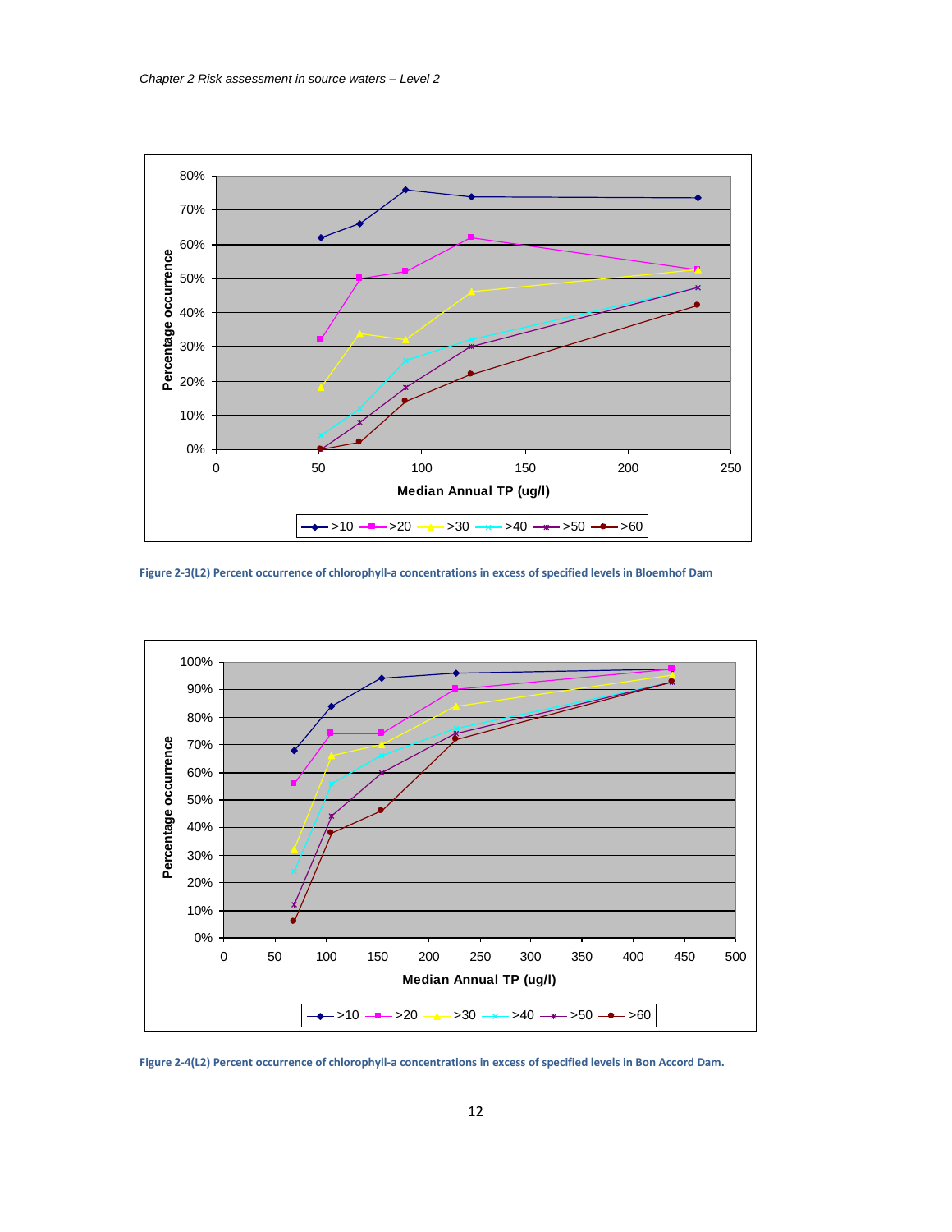

<span id="page-12-0"></span>**Figure 2-3(L2) Percent occurrence of chlorophyll-a concentrations in excess of specified levels in Bloemhof Dam**



<span id="page-12-1"></span>**Figure 2-4(L2) Percent occurrence of chlorophyll-a concentrations in excess of specified levels in Bon Accord Dam.**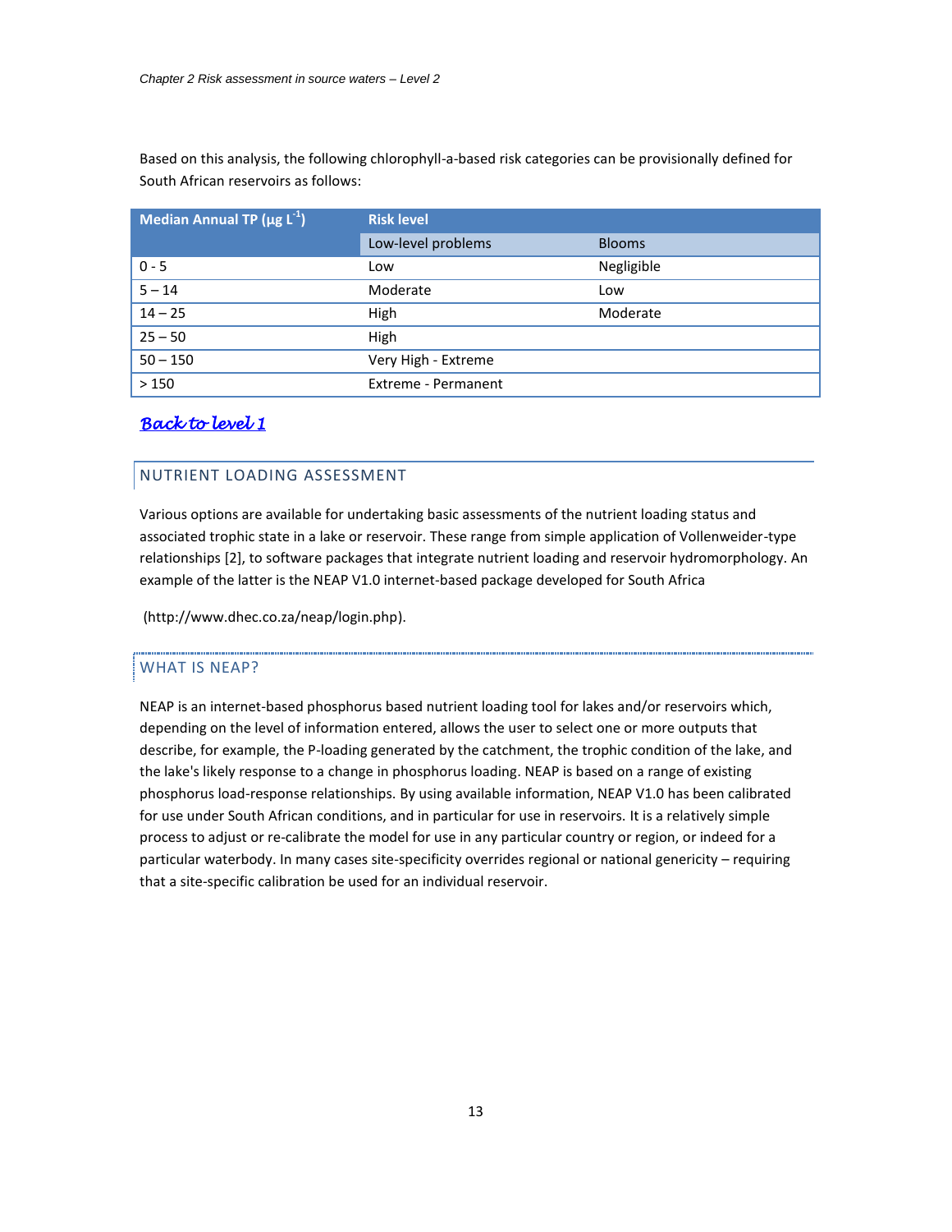Based on this analysis, the following chlorophyll-a-based risk categories can be provisionally defined for South African reservoirs as follows:

| Median Annual TP ( $\mu$ g L <sup>-1</sup> ) | <b>Risk level</b>   |               |  |  |  |  |  |
|----------------------------------------------|---------------------|---------------|--|--|--|--|--|
|                                              | Low-level problems  | <b>Blooms</b> |  |  |  |  |  |
| $0 - 5$                                      | Low                 | Negligible    |  |  |  |  |  |
| $5 - 14$                                     | Moderate            | Low           |  |  |  |  |  |
| $14 - 25$                                    | High                | Moderate      |  |  |  |  |  |
| $25 - 50$                                    | <b>High</b>         |               |  |  |  |  |  |
| $50 - 150$                                   | Very High - Extreme |               |  |  |  |  |  |
| >150                                         | Extreme - Permanent |               |  |  |  |  |  |

## *[Back to level 1](#page-2-1)*

## NUTRIENT LOADING ASSESSMENT

<span id="page-13-0"></span>Various options are available for undertaking basic assessments of the nutrient loading status and associated trophic state in a lake or reservoir. These range from simple application of Vollenweider-type relationships [\[2\]](#page-4-4), to software packages that integrate nutrient loading and reservoir hydromorphology. An example of the latter is the NEAP V1.0 internet-based package developed for South Africa

(http://www.dhec.co.za/neap/login.php).

## WHAT IS NEAP?

NEAP is an internet-based phosphorus based nutrient loading tool for lakes and/or reservoirs which, depending on the level of information entered, allows the user to select one or more outputs that describe, for example, the P-loading generated by the catchment, the trophic condition of the lake, and the lake's likely response to a change in phosphorus loading. NEAP is based on a range of existing phosphorus load-response relationships. By using available information, NEAP V1.0 has been calibrated for use under South African conditions, and in particular for use in reservoirs. It is a relatively simple process to adjust or re-calibrate the model for use in any particular country or region, or indeed for a particular waterbody. In many cases site-specificity overrides regional or national genericity – requiring that a site-specific calibration be used for an individual reservoir.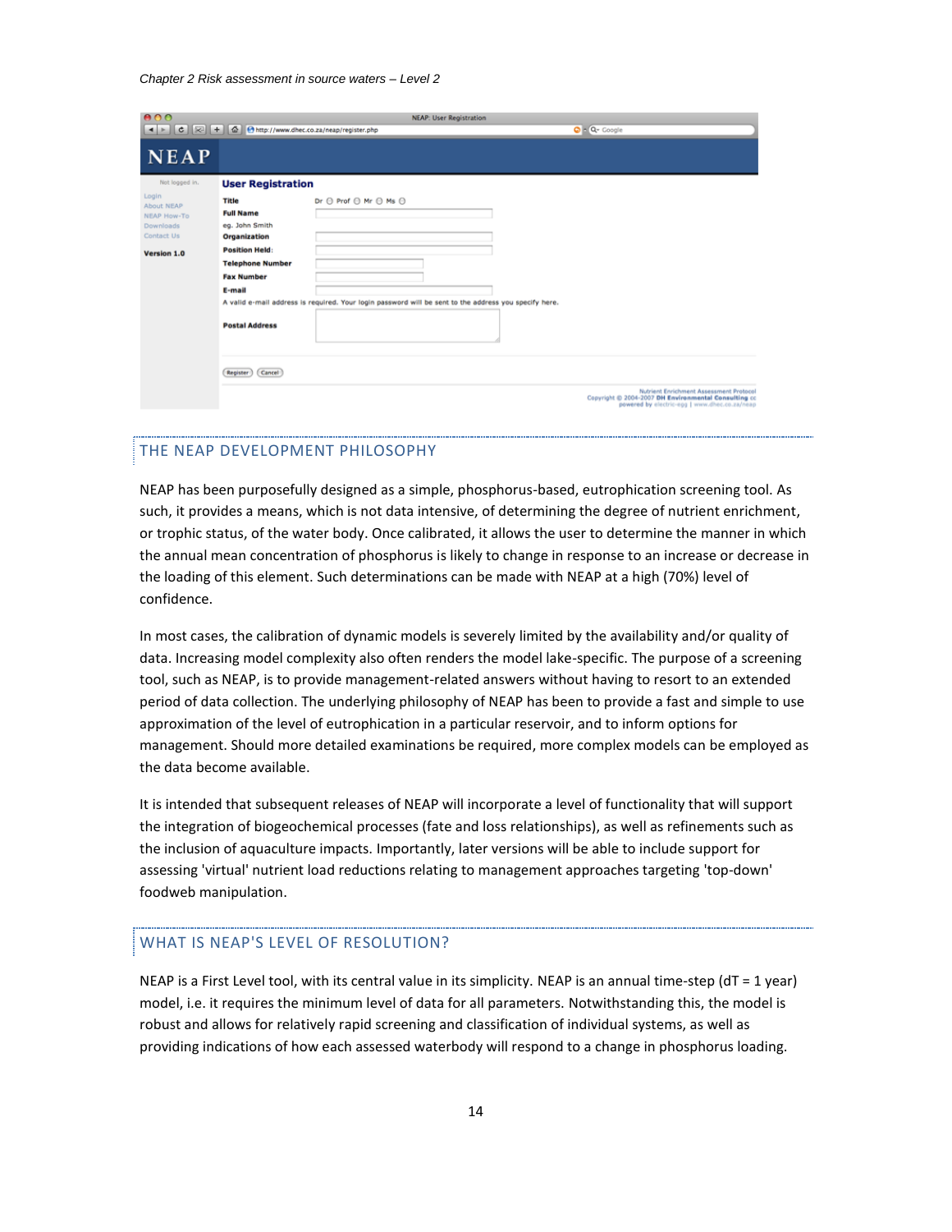#### *Chapter 2 Risk assessment in source waters – Level 2*

| 000                                                                                 | <b>NEAP: User Registration</b>                                                                                                                                                                            |  |
|-------------------------------------------------------------------------------------|-----------------------------------------------------------------------------------------------------------------------------------------------------------------------------------------------------------|--|
|                                                                                     | ◀ ▶ C $\mathcal{L}$ + $\phi$ + $\phi$ + $\phi$ http://www.dhec.co.za/neap/register.php<br>O - Q- Google                                                                                                   |  |
| <b>NEAP</b>                                                                         |                                                                                                                                                                                                           |  |
| Not logged in.                                                                      | <b>User Registration</b>                                                                                                                                                                                  |  |
| Login<br>About NEAP<br><b>NEAP How-To</b><br>Downloads<br>Contact Us<br>Version 1.0 | $Dr \bigoplus Prof \bigoplus Mr \bigoplus Ms \bigoplus$<br>Title<br><b>Full Name</b><br>eg. John Smith<br>Organization<br><b>Position Held:</b><br><b>Telephone Number</b><br><b>Fax Number</b><br>E-mail |  |
|                                                                                     | A valid e-mail address is required. Your login password will be sent to the address you specify here.<br><b>Postal Address</b><br>Cancel<br>Register                                                      |  |
|                                                                                     | Nutrient Enrichment Assessment Protocol<br>Copyright © 2004-2007 DH Environmental Consulting cc<br>powered by electric-egg   www.dhec.co.za/neap                                                          |  |

## THE NEAP DEVELOPMENT PHILOSOPHY

NEAP has been purposefully designed as a simple, phosphorus-based, eutrophication screening tool. As such, it provides a means, which is not data intensive, of determining the degree of nutrient enrichment, or trophic status, of the water body. Once calibrated, it allows the user to determine the manner in which the annual mean concentration of phosphorus is likely to change in response to an increase or decrease in the loading of this element. Such determinations can be made with NEAP at a high (70%) level of confidence.

In most cases, the calibration of dynamic models is severely limited by the availability and/or quality of data. Increasing model complexity also often renders the model lake-specific. The purpose of a screening tool, such as NEAP, is to provide management-related answers without having to resort to an extended period of data collection. The underlying philosophy of NEAP has been to provide a fast and simple to use approximation of the level of eutrophication in a particular reservoir, and to inform options for management. Should more detailed examinations be required, more complex models can be employed as the data become available.

It is intended that subsequent releases of NEAP will incorporate a level of functionality that will support the integration of biogeochemical processes (fate and loss relationships), as well as refinements such as the inclusion of aquaculture impacts. Importantly, later versions will be able to include support for assessing 'virtual' nutrient load reductions relating to management approaches targeting 'top-down' foodweb manipulation.

## WHAT IS NEAP'S LEVEL OF RESOLUTION?

NEAP is a First Level tool, with its central value in its simplicity. NEAP is an annual time-step (dT = 1 year) model, i.e. it requires the minimum level of data for all parameters. Notwithstanding this, the model is robust and allows for relatively rapid screening and classification of individual systems, as well as providing indications of how each assessed waterbody will respond to a change in phosphorus loading.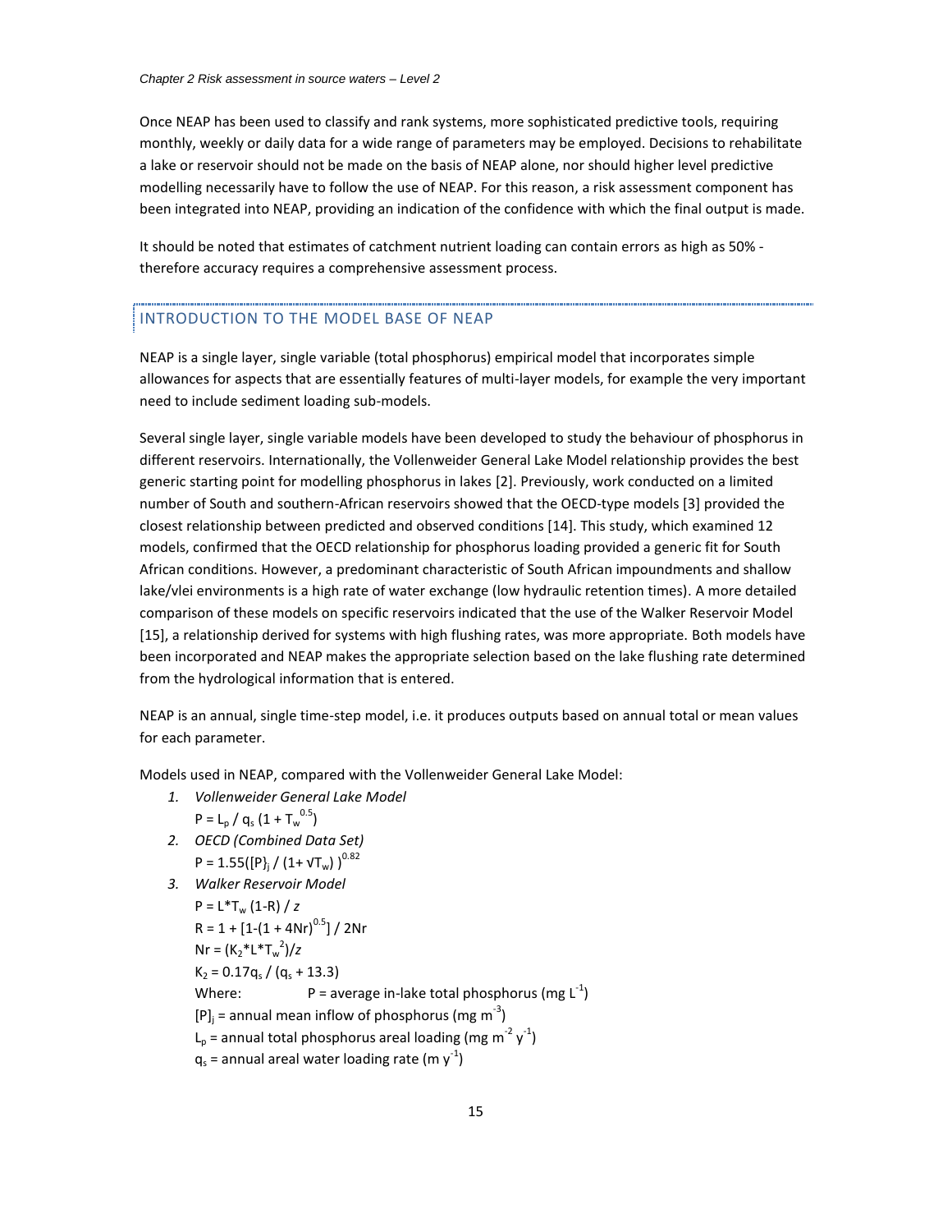Once NEAP has been used to classify and rank systems, more sophisticated predictive tools, requiring monthly, weekly or daily data for a wide range of parameters may be employed. Decisions to rehabilitate a lake or reservoir should not be made on the basis of NEAP alone, nor should higher level predictive modelling necessarily have to follow the use of NEAP. For this reason, a risk assessment component has been integrated into NEAP, providing an indication of the confidence with which the final output is made.

It should be noted that estimates of catchment nutrient loading can contain errors as high as 50% therefore accuracy requires a comprehensive assessment process.

#### INTRODUCTION TO THE MODEL BASE OF NEAP

NEAP is a single layer, single variable (total phosphorus) empirical model that incorporates simple allowances for aspects that are essentially features of multi-layer models, for example the very important need to include sediment loading sub-models.

Several single layer, single variable models have been developed to study the behaviour of phosphorus in different reservoirs. Internationally, the Vollenweider General Lake Model relationship provides the best generic starting point for modelling phosphorus in lakes [\[2\]](#page-4-4). Previously, work conducted on a limited number of South and southern-African reservoirs showed that the OECD-type models [\[3\]](#page-4-3) provided the closest relationship between predicted and observed conditions [14]. This study, which examined 12 models, confirmed that the OECD relationship for phosphorus loading provided a generic fit for South African conditions. However, a predominant characteristic of South African impoundments and shallow lake/vlei environments is a high rate of water exchange (low hydraulic retention times). A more detailed comparison of these models on specific reservoirs indicated that the use of the Walker Reservoir Model [15], a relationship derived for systems with high flushing rates, was more appropriate. Both models have been incorporated and NEAP makes the appropriate selection based on the lake flushing rate determined from the hydrological information that is entered.

NEAP is an annual, single time-step model, i.e. it produces outputs based on annual total or mean values for each parameter.

Models used in NEAP, compared with the Vollenweider General Lake Model:

- *1. Vollenweider General Lake Model*
	- $P = L_p / q_s (1 + T_w^{0.5})$
- *2. OECD (Combined Data Set)*  $P = 1.55({P_i / (1 + \sqrt{T_w})})^{0.82}$
- *3. Walker Reservoir Model*

$$
P = L^*T_w (1 - R) / z
$$
  
\n
$$
R = 1 + [1 - (1 + 4Nr)^{0.5}] / 2Nr
$$
  
\n
$$
Nr = (K_2^*L^*T_w^2)/z
$$
  
\n
$$
K_2 = 0.17q_s / (q_s + 13.3)
$$
  
\nWhere:  $P = \text{average in- lake total phosphorus (mg L}^{-1})$   
\n $[P]_j = \text{annual mean inflow of phosphorus (mg m}^{-3})$   
\n $L_p = \text{annual total phosphorus areal loading (mg m}^{-2} y^{-1})$   
\n $q_s = \text{annual area water loading rate (m y}^{-1})$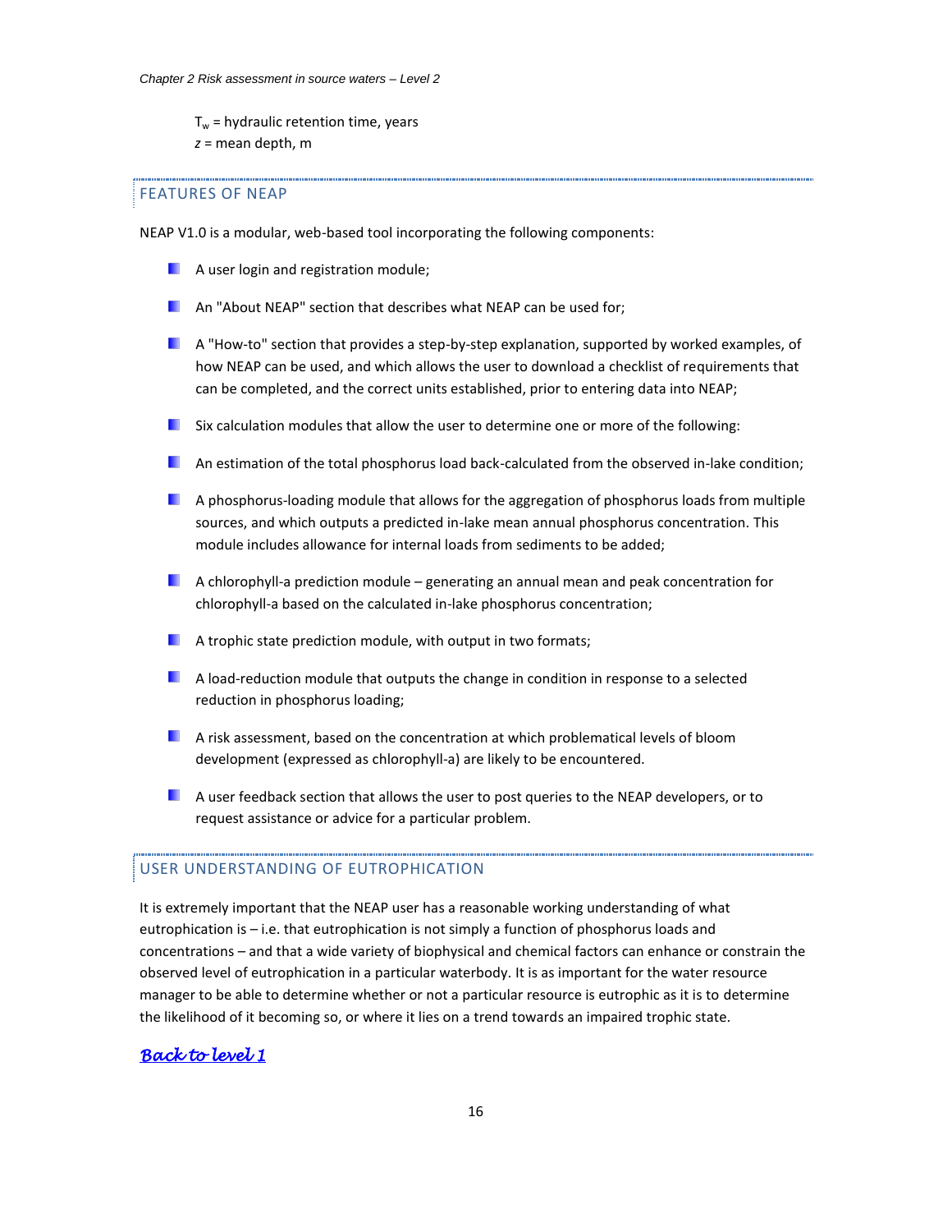$T_w$  = hydraulic retention time, years *z* = mean depth, m

## FEATURES OF NEAP

NEAP V1.0 is a modular, web-based tool incorporating the following components:

- **A** user login and registration module;
- **An "About NEAP" section that describes what NEAP can be used for;**
- $\blacksquare$  A "How-to" section that provides a step-by-step explanation, supported by worked examples, of how NEAP can be used, and which allows the user to download a checklist of requirements that can be completed, and the correct units established, prior to entering data into NEAP;
- $\blacksquare$  Six calculation modules that allow the user to determine one or more of the following:
- **An estimation of the total phosphorus load back-calculated from the observed in-lake condition;**
- **A** phosphorus-loading module that allows for the aggregation of phosphorus loads from multiple sources, and which outputs a predicted in-lake mean annual phosphorus concentration. This module includes allowance for internal loads from sediments to be added;
- $\blacksquare$  A chlorophyll-a prediction module generating an annual mean and peak concentration for chlorophyll-a based on the calculated in-lake phosphorus concentration;
- $\blacksquare$  A trophic state prediction module, with output in two formats;
- **A load-reduction module that outputs the change in condition in response to a selected** reduction in phosphorus loading;
- A risk assessment, based on the concentration at which problematical levels of bloom development (expressed as chlorophyll-a) are likely to be encountered.
- **A** user feedback section that allows the user to post queries to the NEAP developers, or to request assistance or advice for a particular problem.

#### USER UNDERSTANDING OF EUTROPHICATION

It is extremely important that the NEAP user has a reasonable working understanding of what eutrophication is – i.e. that eutrophication is not simply a function of phosphorus loads and concentrations – and that a wide variety of biophysical and chemical factors can enhance or constrain the observed level of eutrophication in a particular waterbody. It is as important for the water resource manager to be able to determine whether or not a particular resource is eutrophic as it is to determine the likelihood of it becoming so, or where it lies on a trend towards an impaired trophic state.

## *[Back to level 1](#page-2-1)*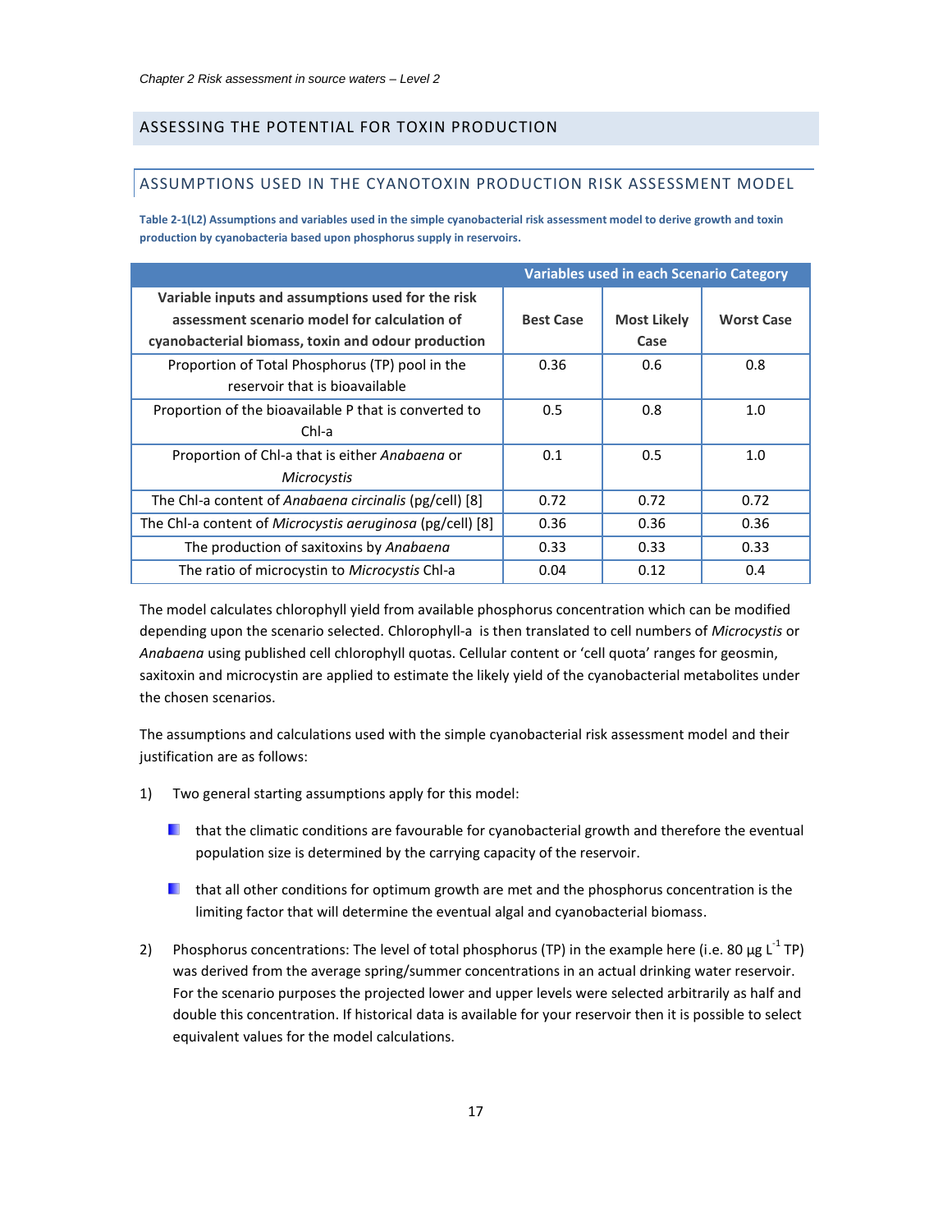## <span id="page-17-3"></span><span id="page-17-2"></span>ASSESSING THE POTENTIAL FOR TOXIN PRODUCTION

## <span id="page-17-0"></span>ASSUMPTIONS USED IN THE CYANOTOXIN PRODUCTION RISK ASSESSMENT MODEL

<span id="page-17-1"></span>**Table 2-1(L2) Assumptions and variables used in the simple cyanobacterial risk assessment model to derive growth and toxin production by cyanobacteria based upon phosphorus supply in reservoirs.** 

|                                                           |                  | <b>Variables used in each Scenario Category</b> |                   |
|-----------------------------------------------------------|------------------|-------------------------------------------------|-------------------|
| Variable inputs and assumptions used for the risk         |                  |                                                 |                   |
| assessment scenario model for calculation of              | <b>Best Case</b> | <b>Most Likely</b>                              | <b>Worst Case</b> |
| cyanobacterial biomass, toxin and odour production        |                  | Case                                            |                   |
| Proportion of Total Phosphorus (TP) pool in the           | 0.36             | 0.6                                             | 0.8               |
| reservoir that is bioavailable                            |                  |                                                 |                   |
| Proportion of the bioavailable P that is converted to     | 0.5              | 0.8                                             | 1.0               |
| Chl-a                                                     |                  |                                                 |                   |
| Proportion of Chl-a that is either Anabaena or            | 0.1              | 0.5                                             | 1.0               |
| Microcystis                                               |                  |                                                 |                   |
| The Chl-a content of Anabaena circinalis (pg/cell) [8]    | 0.72             | 0.72                                            | 0.72              |
| The Chl-a content of Microcystis aeruginosa (pg/cell) [8] | 0.36             | 0.36                                            | 0.36              |
| The production of saxitoxins by Anabaena                  | 0.33             | 0.33                                            | 0.33              |
| The ratio of microcystin to Microcystis Chl-a             | 0.04             | 0.12                                            | 0.4               |

The model calculates chlorophyll yield from available phosphorus concentration which can be modified depending upon the scenario selected. Chlorophyll-a is then translated to cell numbers of *Microcystis* or *Anabaena* using published cell chlorophyll quotas. Cellular content or 'cell quota' ranges for geosmin, saxitoxin and microcystin are applied to estimate the likely yield of the cyanobacterial metabolites under the chosen scenarios.

The assumptions and calculations used with the simple cyanobacterial risk assessment model and their justification are as follows:

- 1) Two general starting assumptions apply for this model:
	- **L** that the climatic conditions are favourable for cyanobacterial growth and therefore the eventual population size is determined by the carrying capacity of the reservoir.
	- **L** that all other conditions for optimum growth are met and the phosphorus concentration is the limiting factor that will determine the eventual algal and cyanobacterial biomass.
- 2) Phosphorus concentrations: The level of total phosphorus (TP) in the example here (i.e. 80  $\mu$ g L<sup>-1</sup> TP) was derived from the average spring/summer concentrations in an actual drinking water reservoir. For the scenario purposes the projected lower and upper levels were selected arbitrarily as half and double this concentration. If historical data is available for your reservoir then it is possible to select equivalent values for the model calculations.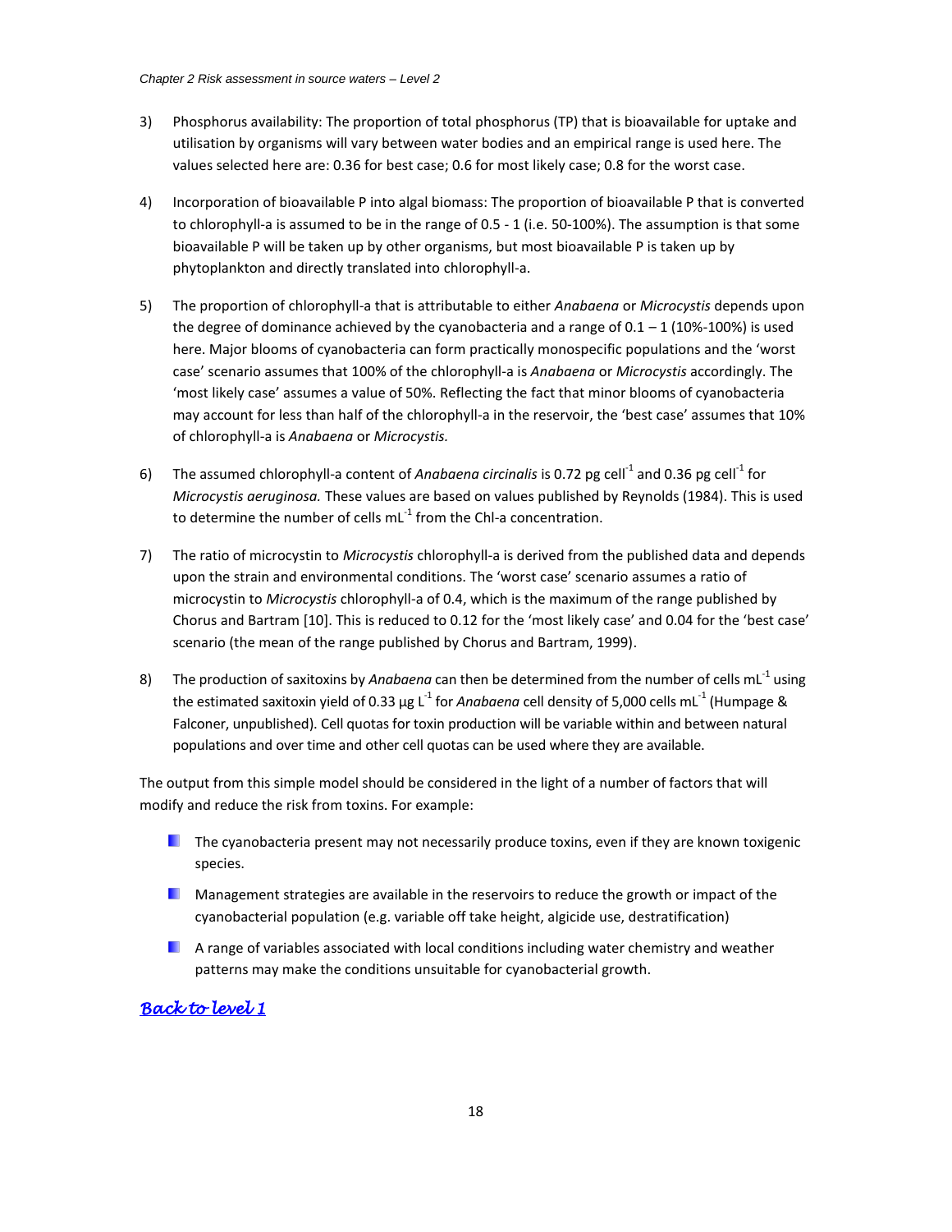- 3) Phosphorus availability: The proportion of total phosphorus (TP) that is bioavailable for uptake and utilisation by organisms will vary between water bodies and an empirical range is used here. The values selected here are: 0.36 for best case; 0.6 for most likely case; 0.8 for the worst case.
- 4) Incorporation of bioavailable P into algal biomass: The proportion of bioavailable P that is converted to chlorophyll-a is assumed to be in the range of 0.5 - 1 (i.e. 50-100%). The assumption is that some bioavailable P will be taken up by other organisms, but most bioavailable P is taken up by phytoplankton and directly translated into chlorophyll-a.
- 5) The proportion of chlorophyll-a that is attributable to either *Anabaena* or *Microcystis* depends upon the degree of dominance achieved by the cyanobacteria and a range of  $0.1 - 1$  (10%-100%) is used here. Major blooms of cyanobacteria can form practically monospecific populations and the 'worst case' scenario assumes that 100% of the chlorophyll-a is *Anabaena* or *Microcystis* accordingly. The 'most likely case' assumes a value of 50%. Reflecting the fact that minor blooms of cyanobacteria may account for less than half of the chlorophyll-a in the reservoir, the 'best case' assumes that 10% of chlorophyll-a is *Anabaena* or *Microcystis.*
- 6) The assumed chlorophyll-a content of *Anabaena circinalis* is 0.72 pg cell<sup>-1</sup> and 0.36 pg cell<sup>-1</sup> for *Microcystis aeruginosa.* These values are based on values published by Reynolds (1984). This is used to determine the number of cells  $mL^{-1}$  from the Chl-a concentration.
- 7) The ratio of microcystin to *Microcystis* chlorophyll-a is derived from the published data and depends upon the strain and environmental conditions. The 'worst case' scenario assumes a ratio of microcystin to *Microcystis* chlorophyll-a of 0.4, which is the maximum of the range published by Chorus and Bartram [\[10\]](#page-5-4). This is reduced to 0.12 for the 'most likely case' and 0.04 for the 'best case' scenario (the mean of the range published by Chorus and Bartram, 1999).
- 8) The production of saxitoxins by *Anabaena* can then be determined from the number of cells mL<sup>-1</sup> using the estimated saxitoxin yield of 0.33 μg L<sup>-1</sup> for *Anabaena* cell density of 5,000 cells mL<sup>-1</sup> (Humpage & Falconer, unpublished). Cell quotas for toxin production will be variable within and between natural populations and over time and other cell quotas can be used where they are available.

The output from this simple model should be considered in the light of a number of factors that will modify and reduce the risk from toxins. For example:

- **The cyanobacteria present may not necessarily produce toxins, even if they are known toxigenic** species.
- **Management strategies are available in the reservoirs to reduce the growth or impact of the** cyanobacterial population (e.g. variable off take height, algicide use, destratification)
- **A** range of variables associated with local conditions including water chemistry and weather patterns may make the conditions unsuitable for cyanobacterial growth.

## *[Back to level 1](#page-8-1)*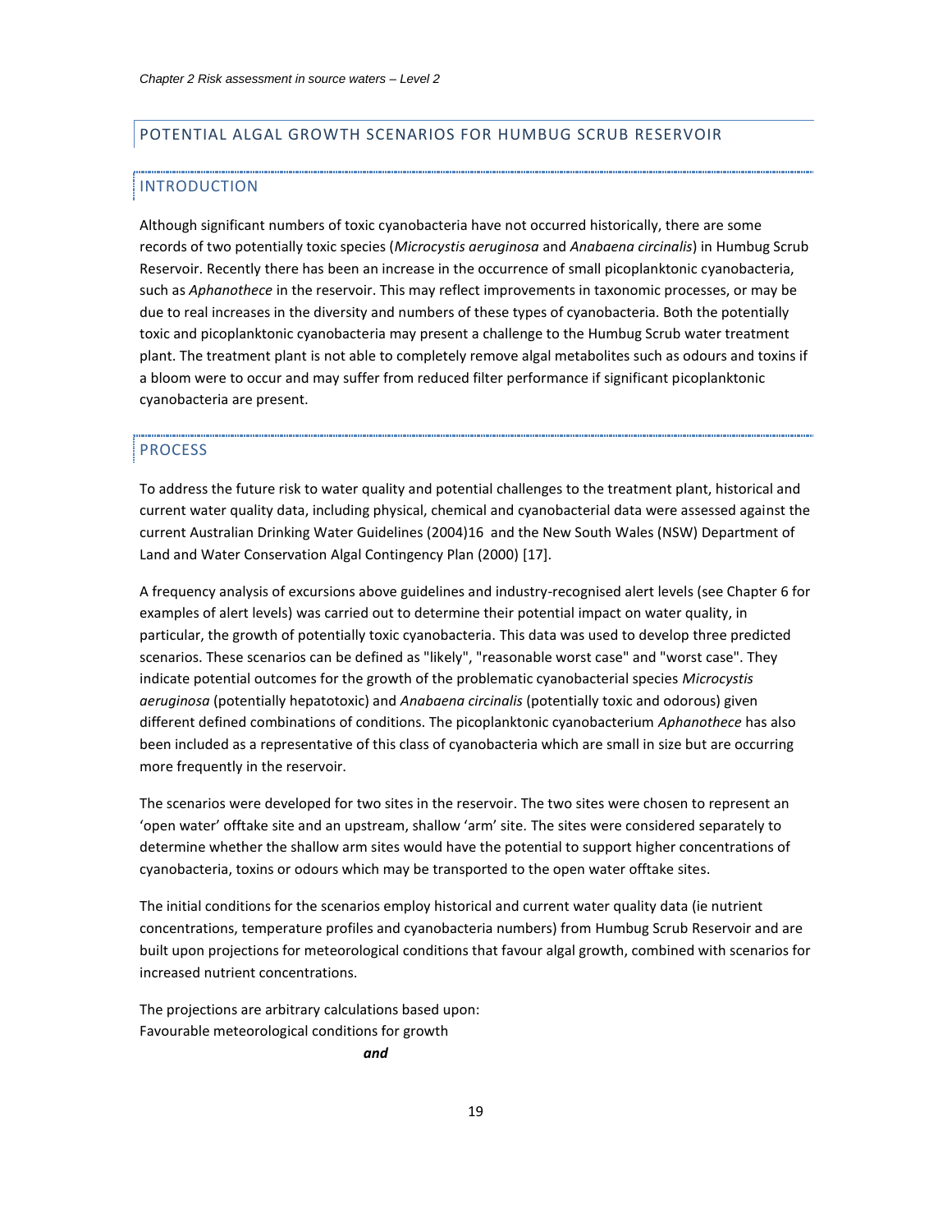## <span id="page-19-1"></span>POTENTIAL ALGAL GROWTH SCENARIOS FOR HUMBUG SCRUB RESERVOIR

#### <span id="page-19-0"></span>INTRODUCTION

Although significant numbers of toxic cyanobacteria have not occurred historically, there are some records of two potentially toxic species (*Microcystis aeruginosa* and *Anabaena circinalis*) in Humbug Scrub Reservoir. Recently there has been an increase in the occurrence of small picoplanktonic cyanobacteria, such as *Aphanothece* in the reservoir. This may reflect improvements in taxonomic processes, or may be due to real increases in the diversity and numbers of these types of cyanobacteria. Both the potentially toxic and picoplanktonic cyanobacteria may present a challenge to the Humbug Scrub water treatment plant. The treatment plant is not able to completely remove algal metabolites such as odours and toxins if a bloom were to occur and may suffer from reduced filter performance if significant picoplanktonic cyanobacteria are present.

#### PROCESS

To address the future risk to water quality and potential challenges to the treatment plant, historical and current water quality data, including physical, chemical and cyanobacterial data were assessed against the current Australian Drinking Water Guidelines (2004)16 and the New South Wales (NSW) Department of Land and Water Conservation Algal Contingency Plan (2000) [17].

A frequency analysis of excursions above guidelines and industry-recognised alert levels (see Chapter 6 for examples of alert levels) was carried out to determine their potential impact on water quality, in particular, the growth of potentially toxic cyanobacteria. This data was used to develop three predicted scenarios. These scenarios can be defined as "likely", "reasonable worst case" and "worst case". They indicate potential outcomes for the growth of the problematic cyanobacterial species *Microcystis aeruginosa* (potentially hepatotoxic) and *Anabaena circinalis* (potentially toxic and odorous) given different defined combinations of conditions. The picoplanktonic cyanobacterium *Aphanothece* has also been included as a representative of this class of cyanobacteria which are small in size but are occurring more frequently in the reservoir.

The scenarios were developed for two sites in the reservoir. The two sites were chosen to represent an 'open water' offtake site and an upstream, shallow 'arm' site. The sites were considered separately to determine whether the shallow arm sites would have the potential to support higher concentrations of cyanobacteria, toxins or odours which may be transported to the open water offtake sites.

The initial conditions for the scenarios employ historical and current water quality data (ie nutrient concentrations, temperature profiles and cyanobacteria numbers) from Humbug Scrub Reservoir and are built upon projections for meteorological conditions that favour algal growth, combined with scenarios for increased nutrient concentrations.

The projections are arbitrary calculations based upon: Favourable meteorological conditions for growth

*and*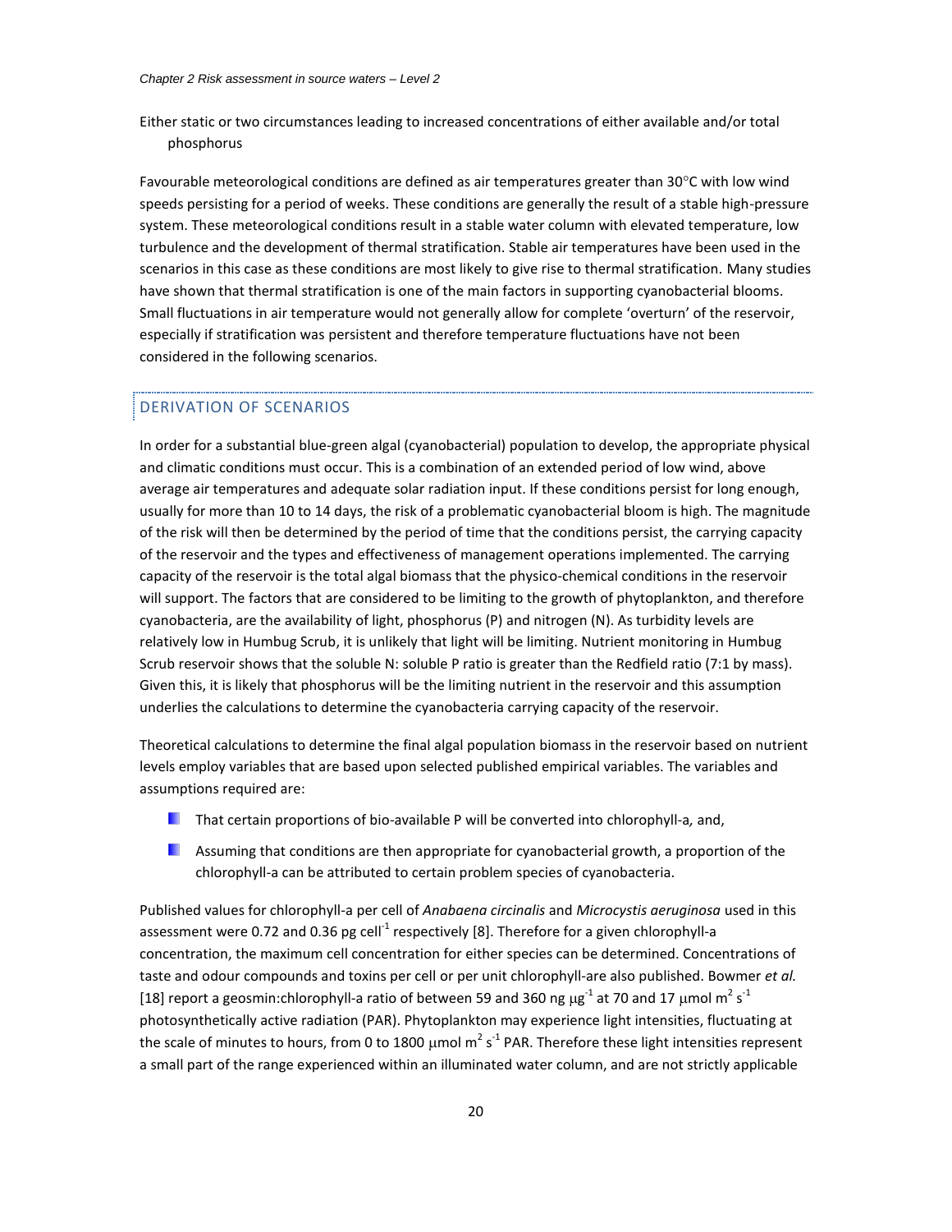Either static or two circumstances leading to increased concentrations of either available and/or total phosphorus

Favourable meteorological conditions are defined as air temperatures greater than  $30^{\circ}$ C with low wind speeds persisting for a period of weeks. These conditions are generally the result of a stable high-pressure system. These meteorological conditions result in a stable water column with elevated temperature, low turbulence and the development of thermal stratification. Stable air temperatures have been used in the scenarios in this case as these conditions are most likely to give rise to thermal stratification. Many studies have shown that thermal stratification is one of the main factors in supporting cyanobacterial blooms. Small fluctuations in air temperature would not generally allow for complete 'overturn' of the reservoir, especially if stratification was persistent and therefore temperature fluctuations have not been considered in the following scenarios.

#### DERIVATION OF SCENARIOS

In order for a substantial blue-green algal (cyanobacterial) population to develop, the appropriate physical and climatic conditions must occur. This is a combination of an extended period of low wind, above average air temperatures and adequate solar radiation input. If these conditions persist for long enough, usually for more than 10 to 14 days, the risk of a problematic cyanobacterial bloom is high. The magnitude of the risk will then be determined by the period of time that the conditions persist, the carrying capacity of the reservoir and the types and effectiveness of management operations implemented. The carrying capacity of the reservoir is the total algal biomass that the physico-chemical conditions in the reservoir will support. The factors that are considered to be limiting to the growth of phytoplankton, and therefore cyanobacteria, are the availability of light, phosphorus (P) and nitrogen (N). As turbidity levels are relatively low in Humbug Scrub, it is unlikely that light will be limiting. Nutrient monitoring in Humbug Scrub reservoir shows that the soluble N: soluble P ratio is greater than the Redfield ratio (7:1 by mass). Given this, it is likely that phosphorus will be the limiting nutrient in the reservoir and this assumption underlies the calculations to determine the cyanobacteria carrying capacity of the reservoir.

Theoretical calculations to determine the final algal population biomass in the reservoir based on nutrient levels employ variables that are based upon selected published empirical variables. The variables and assumptions required are:

- That certain proportions of bio-available P will be converted into chlorophyll-a*,* and,
- **Assuming that conditions are then appropriate for cyanobacterial growth, a proportion of the** chlorophyll-a can be attributed to certain problem species of cyanobacteria.

Published values for chlorophyll-a per cell of *Anabaena circinalis* and *Microcystis aeruginosa* used in this assessment were 0.72 and 0.36 pg cell<sup>-1</sup> respectively [\[8\]](#page-5-3). Therefore for a given chlorophyll-a concentration, the maximum cell concentration for either species can be determined. Concentrations of taste and odour compounds and toxins per cell or per unit chlorophyll-are also published. Bowmer *et al.* [18] report a geosmin:chlorophyll-a ratio of between 59 and 360 ng  $\mu$ g<sup>-1</sup> at 70 and 17  $\mu$ mol m<sup>2</sup> s<sup>-1</sup> photosynthetically active radiation (PAR). Phytoplankton may experience light intensities, fluctuating at the scale of minutes to hours, from 0 to 1800  $\mu$ mol m<sup>2</sup> s<sup>-1</sup> PAR. Therefore these light intensities represent a small part of the range experienced within an illuminated water column, and are not strictly applicable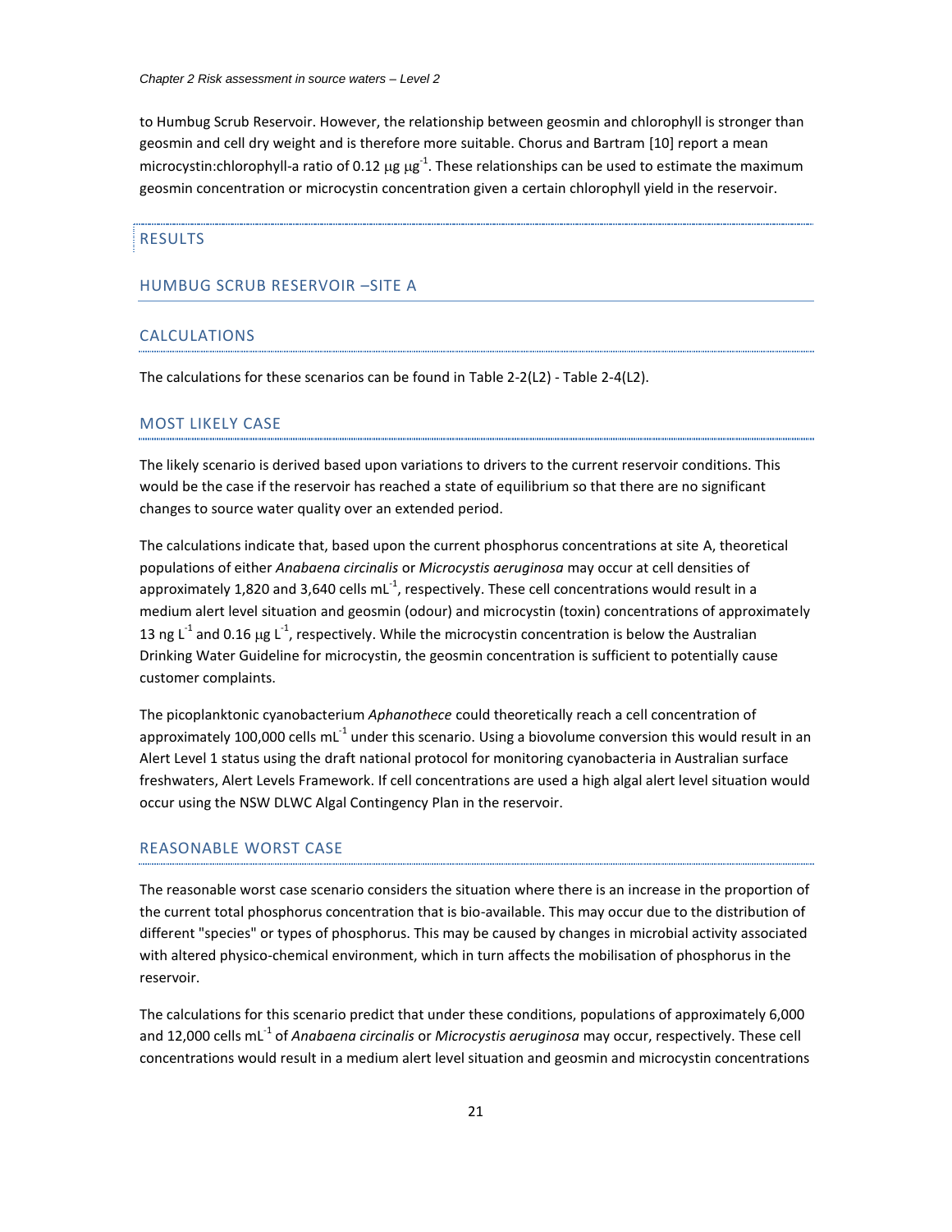to Humbug Scrub Reservoir. However, the relationship between geosmin and chlorophyll is stronger than geosmin and cell dry weight and is therefore more suitable. Chorus and Bartram [\[10\]](#page-5-4) report a mean microcystin:chlorophyll-a ratio of 0.12  $\mu$ g  $\mu$ g<sup>-1</sup>. These relationships can be used to estimate the maximum geosmin concentration or microcystin concentration given a certain chlorophyll yield in the reservoir.

#### RESULTS

#### HUMBUG SCRUB RESERVOIR –SITE A

#### CALCULATIONS

The calculations for these scenarios can be found in [Table 2-2\(](#page-25-0)L2) - [Table 2-4\(](#page-27-0)L2).

## MOST LIKELY CASE

The likely scenario is derived based upon variations to drivers to the current reservoir conditions. This would be the case if the reservoir has reached a state of equilibrium so that there are no significant changes to source water quality over an extended period.

The calculations indicate that, based upon the current phosphorus concentrations at site A, theoretical populations of either *Anabaena circinalis* or *Microcystis aeruginosa* may occur at cell densities of approximately 1,820 and 3,640 cells mL $^{-1}$ , respectively. These cell concentrations would result in a medium alert level situation and geosmin (odour) and microcystin (toxin) concentrations of approximately 13 ng L<sup>-1</sup> and 0.16 µg L<sup>-1</sup>, respectively. While the microcystin concentration is below the Australian Drinking Water Guideline for microcystin, the geosmin concentration is sufficient to potentially cause customer complaints.

The picoplanktonic cyanobacterium *Aphanothece* could theoretically reach a cell concentration of approximately 100,000 cells mL<sup>-1</sup> under this scenario. Using a biovolume conversion this would result in an Alert Level 1 status using the draft national protocol for monitoring cyanobacteria in Australian surface freshwaters, Alert Levels Framework. If cell concentrations are used a high algal alert level situation would occur using the NSW DLWC Algal Contingency Plan in the reservoir.

#### REASONABLE WORST CASE

The reasonable worst case scenario considers the situation where there is an increase in the proportion of the current total phosphorus concentration that is bio-available. This may occur due to the distribution of different "species" or types of phosphorus. This may be caused by changes in microbial activity associated with altered physico-chemical environment, which in turn affects the mobilisation of phosphorus in the reservoir.

The calculations for this scenario predict that under these conditions, populations of approximately 6,000 and 12,000 cells mL<sup>-1</sup> of *Anabaena circinalis* or *Microcystis aeruginosa* may occur, respectively. These cell concentrations would result in a medium alert level situation and geosmin and microcystin concentrations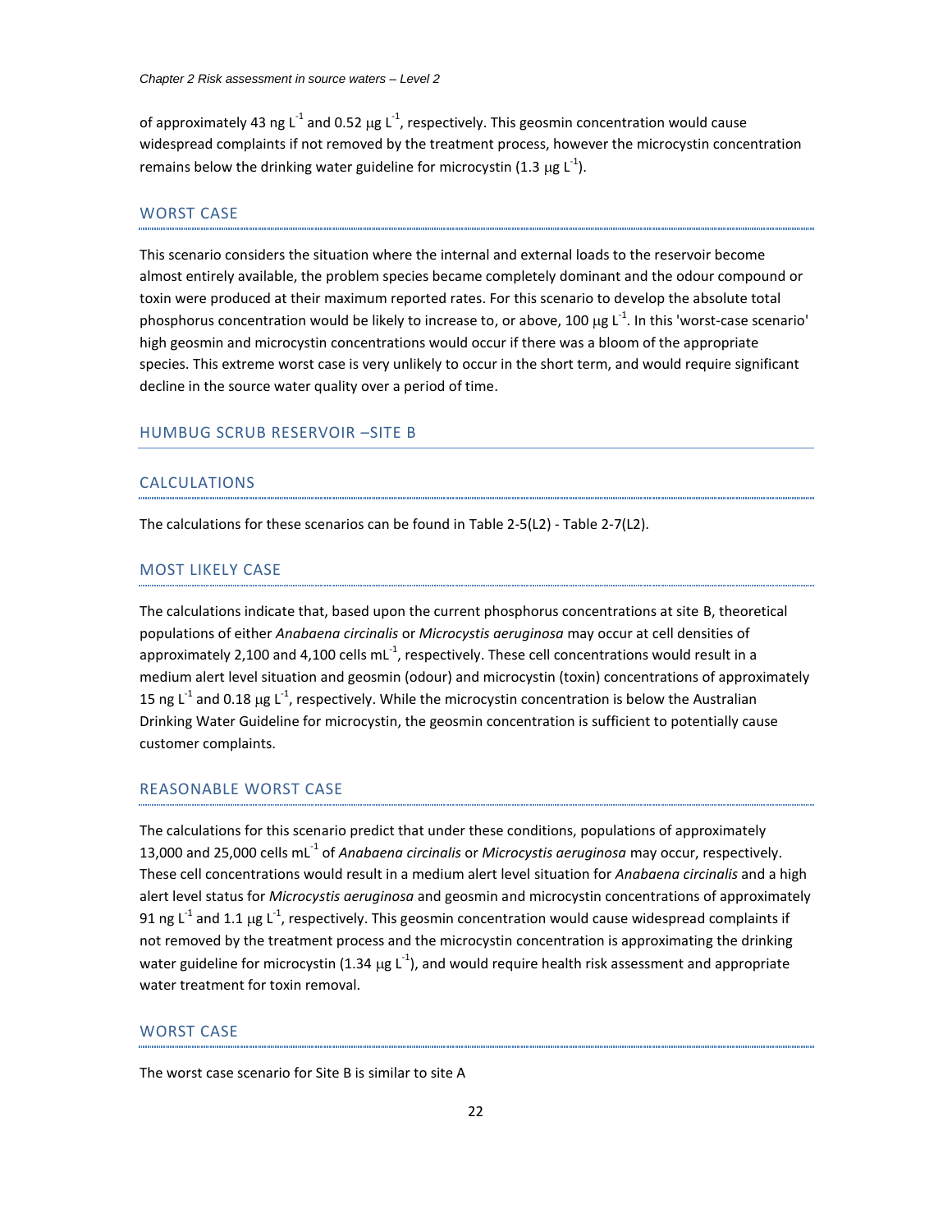of approximately 43 ng L<sup>-1</sup> and 0.52  $\mu$ g L<sup>-1</sup>, respectively. This geosmin concentration would cause widespread complaints if not removed by the treatment process, however the microcystin concentration remains below the drinking water guideline for microcystin (1.3  $\mu$ g L<sup>-1</sup>).

## WORST CASE

This scenario considers the situation where the internal and external loads to the reservoir become almost entirely available, the problem species became completely dominant and the odour compound or toxin were produced at their maximum reported rates. For this scenario to develop the absolute total phosphorus concentration would be likely to increase to, or above, 100  $\mu$ g L<sup>-1</sup>. In this 'worst-case scenario' high geosmin and microcystin concentrations would occur if there was a bloom of the appropriate species. This extreme worst case is very unlikely to occur in the short term, and would require significant decline in the source water quality over a period of time.

#### HUMBUG SCRUB RESERVOIR –SITE B

#### CALCULATIONS

The calculations for these scenarios can be found in [Table 2-5\(](#page-28-0)L2) - [Table 2-7\(](#page-30-0)L2).

#### MOST LIKELY CASE

The calculations indicate that, based upon the current phosphorus concentrations at site B, theoretical populations of either *Anabaena circinalis* or *Microcystis aeruginosa* may occur at cell densities of approximately 2,100 and 4,100 cells mL $^{-1}$ , respectively. These cell concentrations would result in a medium alert level situation and geosmin (odour) and microcystin (toxin) concentrations of approximately 15 ng L<sup>-1</sup> and 0.18 µg L<sup>-1</sup>, respectively. While the microcystin concentration is below the Australian Drinking Water Guideline for microcystin, the geosmin concentration is sufficient to potentially cause customer complaints.

#### REASONABLE WORST CASE

The calculations for this scenario predict that under these conditions, populations of approximately 13,000 and 25,000 cells mL<sup>-1</sup> of *Anabaena circinalis* or *Microcystis aeruginosa* may occur, respectively. These cell concentrations would result in a medium alert level situation for *Anabaena circinalis* and a high alert level status for *Microcystis aeruginosa* and geosmin and microcystin concentrations of approximately 91 ng L<sup>-1</sup> and 1.1 µg L<sup>-1</sup>, respectively. This geosmin concentration would cause widespread complaints if not removed by the treatment process and the microcystin concentration is approximating the drinking water guideline for microcystin (1.34  $\mu$ g L<sup>-1</sup>), and would require health risk assessment and appropriate water treatment for toxin removal.

## WORST CASE

The worst case scenario for Site B is similar to site A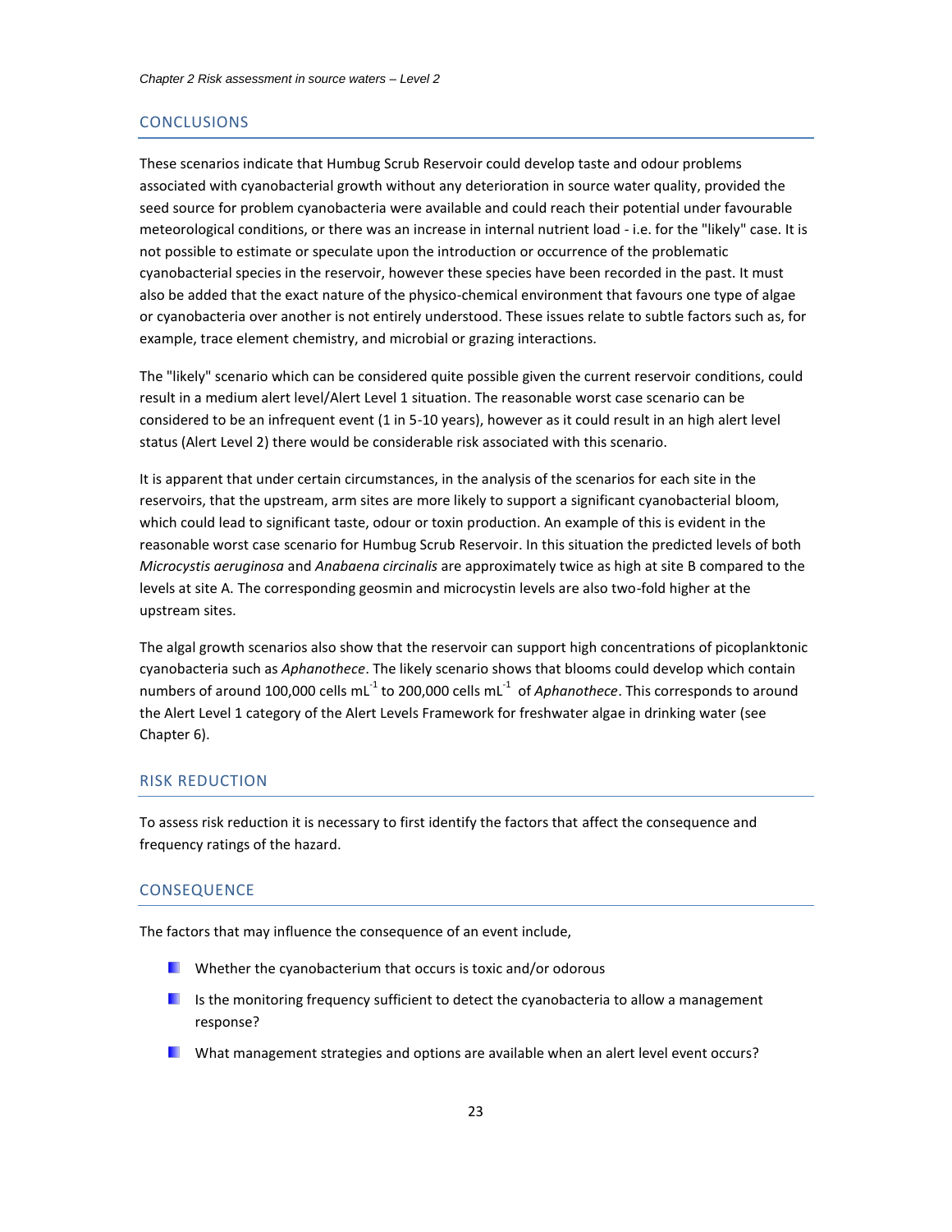#### **CONCLUSIONS**

These scenarios indicate that Humbug Scrub Reservoir could develop taste and odour problems associated with cyanobacterial growth without any deterioration in source water quality, provided the seed source for problem cyanobacteria were available and could reach their potential under favourable meteorological conditions, or there was an increase in internal nutrient load - i.e. for the "likely" case. It is not possible to estimate or speculate upon the introduction or occurrence of the problematic cyanobacterial species in the reservoir, however these species have been recorded in the past. It must also be added that the exact nature of the physico-chemical environment that favours one type of algae or cyanobacteria over another is not entirely understood. These issues relate to subtle factors such as, for example, trace element chemistry, and microbial or grazing interactions.

The "likely" scenario which can be considered quite possible given the current reservoir conditions, could result in a medium alert level/Alert Level 1 situation. The reasonable worst case scenario can be considered to be an infrequent event (1 in 5-10 years), however as it could result in an high alert level status (Alert Level 2) there would be considerable risk associated with this scenario.

It is apparent that under certain circumstances, in the analysis of the scenarios for each site in the reservoirs, that the upstream, arm sites are more likely to support a significant cyanobacterial bloom, which could lead to significant taste, odour or toxin production. An example of this is evident in the reasonable worst case scenario for Humbug Scrub Reservoir. In this situation the predicted levels of both *Microcystis aeruginosa* and *Anabaena circinalis* are approximately twice as high at site B compared to the levels at site A. The corresponding geosmin and microcystin levels are also two-fold higher at the upstream sites.

The algal growth scenarios also show that the reservoir can support high concentrations of picoplanktonic cyanobacteria such as *Aphanothece*. The likely scenario shows that blooms could develop which contain numbers of around 100,000 cells mL<sup>-1</sup> to 200,000 cells mL<sup>-1</sup> of *Aphanothece*. This corresponds to around the Alert Level 1 category of the Alert Levels Framework for freshwater algae in drinking water (see Chapter 6).

#### RISK REDUCTION

To assess risk reduction it is necessary to first identify the factors that affect the consequence and frequency ratings of the hazard.

#### **CONSEQUENCE**

The factors that may influence the consequence of an event include,

- **N** Whether the cyanobacterium that occurs is toxic and/or odorous
- Is the monitoring frequency sufficient to detect the cyanobacteria to allow a management response?
- What management strategies and options are available when an alert level event occurs?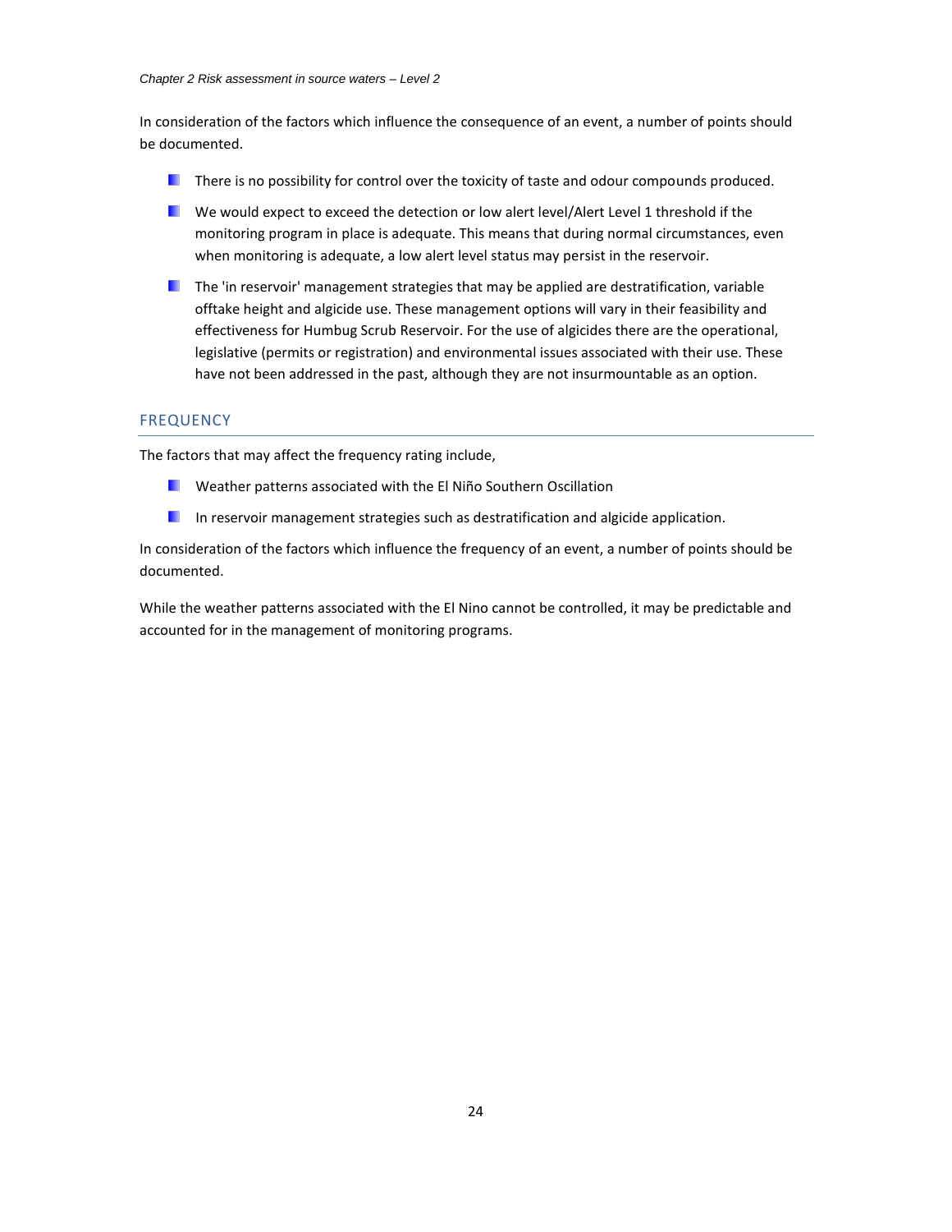In consideration of the factors which influence the consequence of an event, a number of points should be documented.

- **There is no possibility for control over the toxicity of taste and odour compounds produced.**
- We would expect to exceed the detection or low alert level/Alert Level 1 threshold if the monitoring program in place is adequate. This means that during normal circumstances, even when monitoring is adequate, a low alert level status may persist in the reservoir.
- $\blacksquare$  The 'in reservoir' management strategies that may be applied are destratification, variable offtake height and algicide use. These management options will vary in their feasibility and effectiveness for Humbug Scrub Reservoir. For the use of algicides there are the operational, legislative (permits or registration) and environmental issues associated with their use. These have not been addressed in the past, although they are not insurmountable as an option.

## **FREQUENCY**

The factors that may affect the frequency rating include,

- **N** Weather patterns associated with the El Niño Southern Oscillation
- **In reservoir management strategies such as destratification and algicide application.**

In consideration of the factors which influence the frequency of an event, a number of points should be documented.

While the weather patterns associated with the El Nino cannot be controlled, it may be predictable and accounted for in the management of monitoring programs.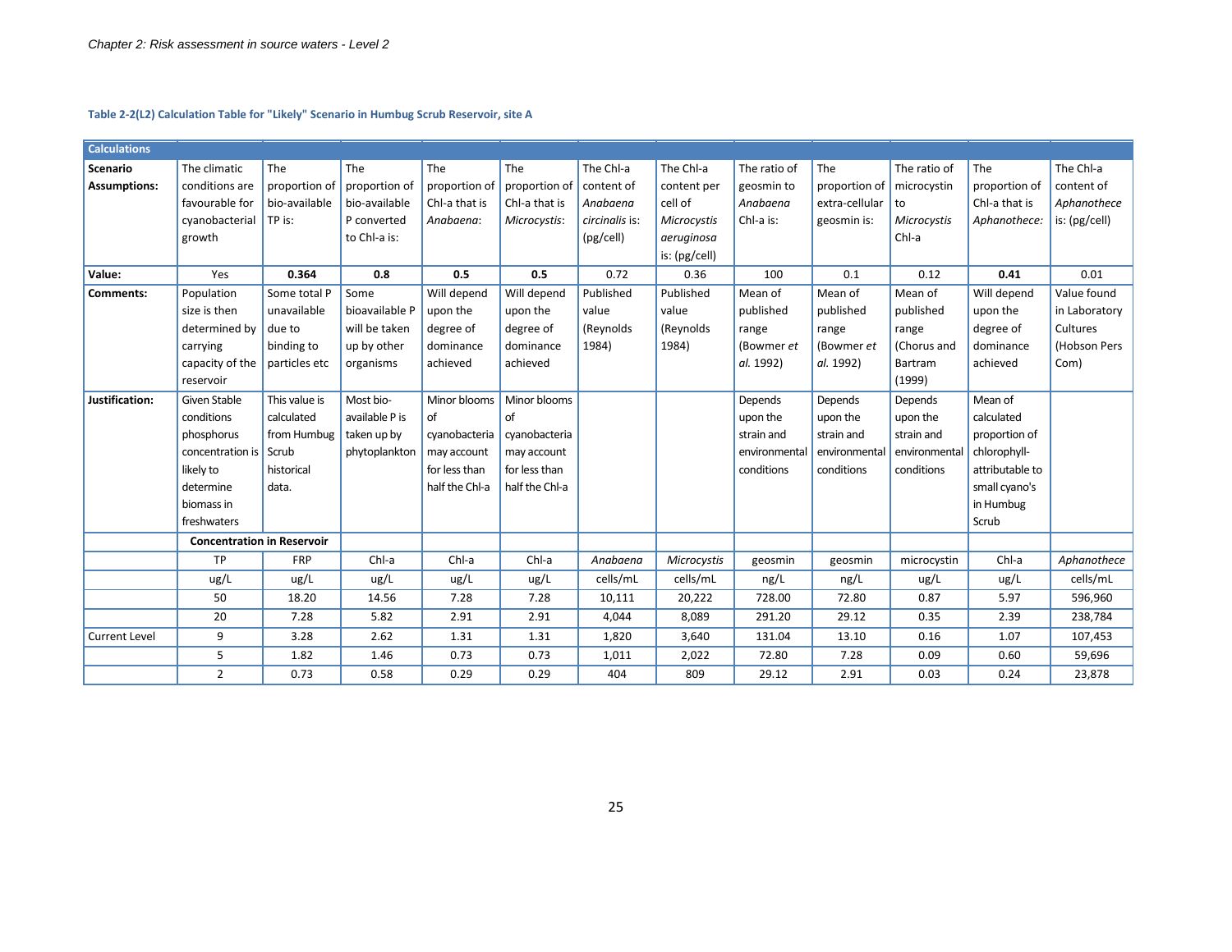**Table 2-2(L2) Calculation Table for "Likely" Scenario in Humbug Scrub Reservoir, site A**

<span id="page-25-0"></span>

| <b>Calculations</b>  |                                   |               |                |                |                |                |               |               |                |               |                 |               |
|----------------------|-----------------------------------|---------------|----------------|----------------|----------------|----------------|---------------|---------------|----------------|---------------|-----------------|---------------|
| <b>Scenario</b>      | The climatic                      | The           | The            | The            | The            | The Chl-a      | The Chl-a     | The ratio of  | The            | The ratio of  | The             | The Chl-a     |
| <b>Assumptions:</b>  | conditions are                    | proportion of | proportion of  | proportion of  | proportion of  | content of     | content per   | geosmin to    | proportion of  | microcystin   | proportion of   | content of    |
|                      | favourable for                    | bio-available | bio-available  | Chl-a that is  | Chl-a that is  | Anabaena       | cell of       | Anabaena      | extra-cellular | to            | Chl-a that is   | Aphanothece   |
|                      | cyanobacterial                    | $ITP$ is:     | P converted    | Anabaena:      | Microcystis:   | circinalis is: | Microcystis   | Chl-a is:     | geosmin is:    | Microcystis   | Aphanothece:    | is: (pg/cell) |
|                      | growth                            |               | to Chl-a is:   |                |                | (pg/cell)      | aeruginosa    |               |                | Chl-a         |                 |               |
|                      |                                   |               |                |                |                |                | is: (pg/cell) |               |                |               |                 |               |
| Value:               | Yes                               | 0.364         | 0.8            | 0.5            | 0.5            | 0.72           | 0.36          | 100           | 0.1            | 0.12          | 0.41            | 0.01          |
| Comments:            | Population                        | Some total P  | Some           | Will depend    | Will depend    | Published      | Published     | Mean of       | Mean of        | Mean of       | Will depend     | Value found   |
|                      | size is then                      | unavailable   | bioavailable P | upon the       | upon the       | value          | value         | published     | published      | published     | upon the        | in Laboratory |
|                      | determined by                     | due to        | will be taken  | degree of      | degree of      | (Reynolds      | (Reynolds     | range         | range          | range         | degree of       | Cultures      |
|                      | carrying                          | binding to    | up by other    | dominance      | dominance      | 1984)          | 1984)         | (Bowmer et    | (Bowmer et     | (Chorus and   | dominance       | (Hobson Pers  |
|                      | capacity of the $ $ particles etc |               | organisms      | achieved       | achieved       |                |               | al. 1992)     | al. 1992)      | Bartram       | achieved        | Com)          |
|                      | reservoir                         |               |                |                |                |                |               |               |                | (1999)        |                 |               |
| Justification:       | Given Stable                      | This value is | Most bio-      | Minor blooms   | Minor blooms   |                |               | Depends       | Depends        | Depends       | Mean of         |               |
|                      | conditions                        | calculated    | available P is | of             | of             |                |               | upon the      | upon the       | upon the      | calculated      |               |
|                      | phosphorus                        | from Humbug   | taken up by    | cyanobacteria  | cyanobacteria  |                |               | strain and    | strain and     | strain and    | proportion of   |               |
|                      | concentration is Scrub            |               | phytoplankton  | may account    | may account    |                |               | environmental | environmental  | environmental | chlorophyll-    |               |
|                      | likely to                         | historical    |                | for less than  | for less than  |                |               | conditions    | conditions     | conditions    | attributable to |               |
|                      | determine                         | data.         |                | half the Chl-a | half the Chl-a |                |               |               |                |               | small cyano's   |               |
|                      | biomass in                        |               |                |                |                |                |               |               |                |               | in Humbug       |               |
|                      | freshwaters                       |               |                |                |                |                |               |               |                |               | Scrub           |               |
|                      | <b>Concentration in Reservoir</b> |               |                |                |                |                |               |               |                |               |                 |               |
|                      | TP                                | <b>FRP</b>    | Chl-a          | Chl-a          | Chl-a          | Anabaena       | Microcystis   | geosmin       | geosmin        | microcystin   | Chl-a           | Aphanothece   |
|                      | ug/L                              | ug/L          | ug/L           | ug/L           | ug/L           | cells/mL       | cells/mL      | ng/L          | ng/L           | ug/L          | ug/L            | cells/mL      |
|                      | 50                                | 18.20         | 14.56          | 7.28           | 7.28           | 10,111         | 20,222        | 728.00        | 72.80          | 0.87          | 5.97            | 596,960       |
|                      | 20                                | 7.28          | 5.82           | 2.91           | 2.91           | 4,044          | 8,089         | 291.20        | 29.12          | 0.35          | 2.39            | 238,784       |
| <b>Current Level</b> | 9                                 | 3.28          | 2.62           | 1.31           | 1.31           | 1,820          | 3,640         | 131.04        | 13.10          | 0.16          | 1.07            | 107,453       |
|                      | 5                                 | 1.82          | 1.46           | 0.73           | 0.73           | 1,011          | 2,022         | 72.80         | 7.28           | 0.09          | 0.60            | 59,696        |
|                      | $\overline{2}$                    | 0.73          | 0.58           | 0.29           | 0.29           | 404            | 809           | 29.12         | 2.91           | 0.03          | 0.24            | 23,878        |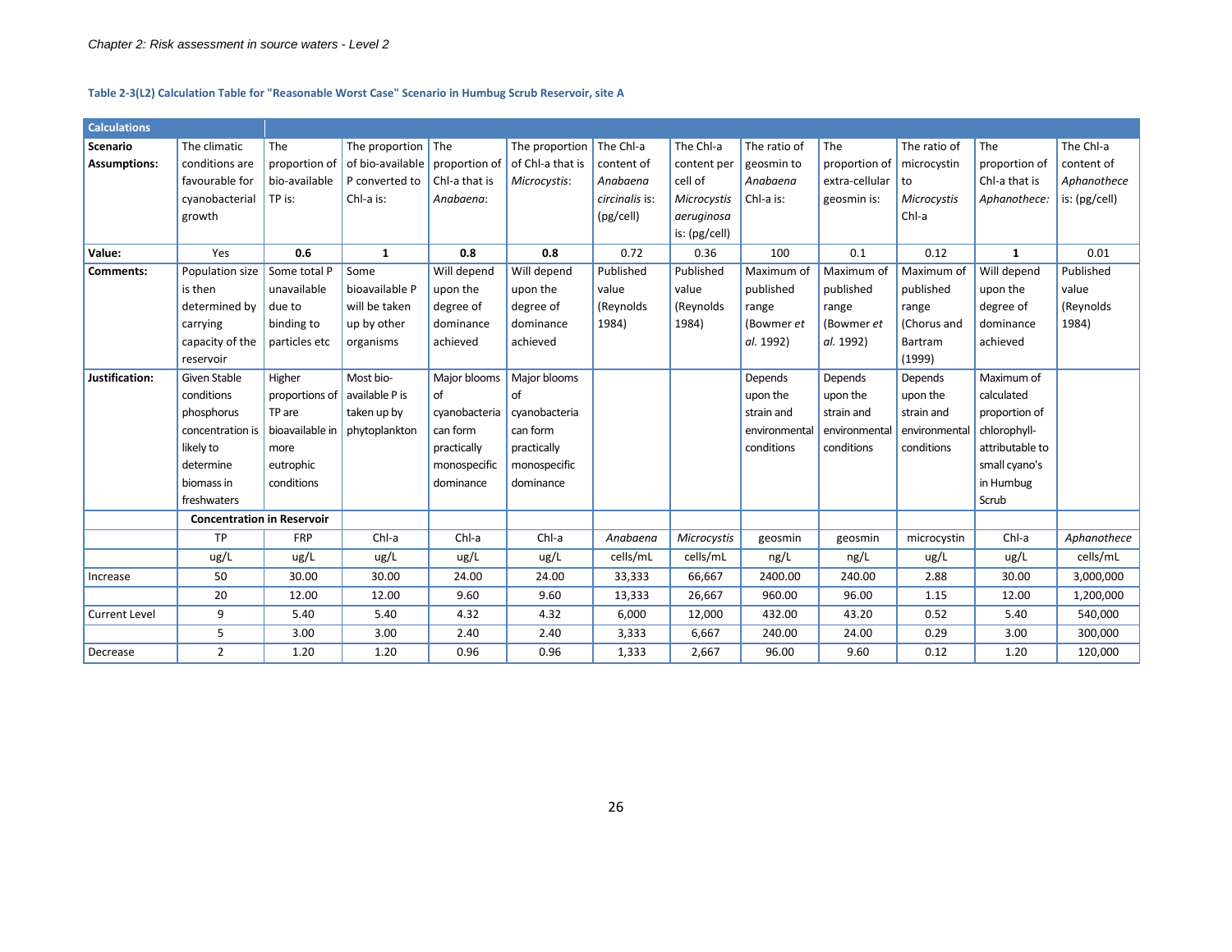#### **Table 2-3(L2) Calculation Table for "Reasonable Worst Case" Scenario in Humbug Scrub Reservoir, site A**

| <b>Calculations</b>  |                                   |                 |                        |               |                  |                |               |               |                |               |                 |               |
|----------------------|-----------------------------------|-----------------|------------------------|---------------|------------------|----------------|---------------|---------------|----------------|---------------|-----------------|---------------|
| Scenario             | The climatic                      | The             | The proportion $ $ The |               | The proportion   | The Chl-a      | The Chl-a     | The ratio of  | The            | The ratio of  | The             | The Chl-a     |
| <b>Assumptions:</b>  | conditions are                    | proportion of   | of bio-available       | proportion of | of Chl-a that is | content of     | content per   | geosmin to    | proportion of  | microcystin   | proportion of   | content of    |
|                      | favourable for                    | bio-available   | P converted to         | Chl-a that is | Microcystis:     | Anabaena       | cell of       | Anabaena      | extra-cellular | to            | Chl-a that is   | Aphanothece   |
|                      | cyanobacterial                    | TP is:          | Chl-a is:              | Anabaena:     |                  | circinalis is: | Microcystis   | Chl-a is:     | geosmin is:    | Microcystis   | Aphanothece:    | is: (pg/cell) |
|                      | growth                            |                 |                        |               |                  | (pg/cell)      | aeruginosa    |               |                | Chl-a         |                 |               |
|                      |                                   |                 |                        |               |                  |                | is: (pg/cell) |               |                |               |                 |               |
| Value:               | Yes                               | 0.6             | $\mathbf{1}$           | 0.8           | 0.8              | 0.72           | 0.36          | 100           | 0.1            | 0.12          | $\mathbf{1}$    | 0.01          |
| Comments:            | Population size                   | Some total P    | Some                   | Will depend   | Will depend      | Published      | Published     | Maximum of    | Maximum of     | Maximum of    | Will depend     | Published     |
|                      | is then                           | unavailable     | bioavailable P         | upon the      | upon the         | value          | value         | published     | published      | published     | upon the        | value         |
|                      | determined by                     | due to          | will be taken          | degree of     | degree of        | (Reynolds      | (Reynolds     | range         | range          | range         | degree of       | (Reynolds     |
|                      | carrying                          | binding to      | up by other            | dominance     | dominance        | 1984)          | 1984)         | (Bowmer et    | (Bowmer et     | (Chorus and   | dominance       | 1984)         |
|                      | capacity of the                   | particles etc   | organisms              | achieved      | achieved         |                |               | al. 1992)     | al. 1992)      | Bartram       | achieved        |               |
|                      | reservoir                         |                 |                        |               |                  |                |               |               |                | (1999)        |                 |               |
| Justification:       | Given Stable                      | Higher          | Most bio-              | Major blooms  | Major blooms     |                |               | Depends       | Depends        | Depends       | Maximum of      |               |
|                      | conditions                        | proportions of  | available P is         | of            | of               |                |               | upon the      | upon the       | upon the      | calculated      |               |
|                      | phosphorus                        | TP are          | taken up by            | cyanobacteria | cyanobacteria    |                |               | strain and    | strain and     | strain and    | proportion of   |               |
|                      | concentration is                  | bioavailable in | phytoplankton          | can form      | can form         |                |               | environmental | environmental  | environmental | chlorophyll-    |               |
|                      | likely to                         | more            |                        | practically   | practically      |                |               | conditions    | conditions     | conditions    | attributable to |               |
|                      | determine                         | eutrophic       |                        | monospecific  | monospecific     |                |               |               |                |               | small cyano's   |               |
|                      | biomass in                        | conditions      |                        | dominance     | dominance        |                |               |               |                |               | in Humbug       |               |
|                      | freshwaters                       |                 |                        |               |                  |                |               |               |                |               | Scrub           |               |
|                      | <b>Concentration in Reservoir</b> |                 |                        |               |                  |                |               |               |                |               |                 |               |
|                      | <b>TP</b>                         | <b>FRP</b>      | Chl-a                  | Chl-a         | Chl-a            | Anabaena       | Microcystis   | geosmin       | geosmin        | microcystin   | Chl-a           | Aphanothece   |
|                      | ug/L                              | ug/L            | ug/L                   | ug/L          | ug/L             | cells/mL       | cells/mL      | ng/L          | ng/L           | ug/L          | ug/L            | cells/mL      |
| Increase             | 50                                | 30.00           | 30.00                  | 24.00         | 24.00            | 33,333         | 66,667        | 2400.00       | 240.00         | 2.88          | 30.00           | 3,000,000     |
|                      | 20                                | 12.00           | 12.00                  | 9.60          | 9.60             | 13,333         | 26,667        | 960.00        | 96.00          | 1.15          | 12.00           | 1,200,000     |
| <b>Current Level</b> | 9                                 | 5.40            | 5.40                   | 4.32          | 4.32             | 6,000          | 12,000        | 432.00        | 43.20          | 0.52          | 5.40            | 540,000       |
|                      | 5                                 | 3.00            | 3.00                   | 2.40          | 2.40             | 3,333          | 6,667         | 240.00        | 24.00          | 0.29          | 3.00            | 300,000       |
| Decrease             | $\overline{2}$                    | 1.20            | 1.20                   | 0.96          | 0.96             | 1,333          | 2,667         | 96.00         | 9.60           | 0.12          | 1.20            | 120,000       |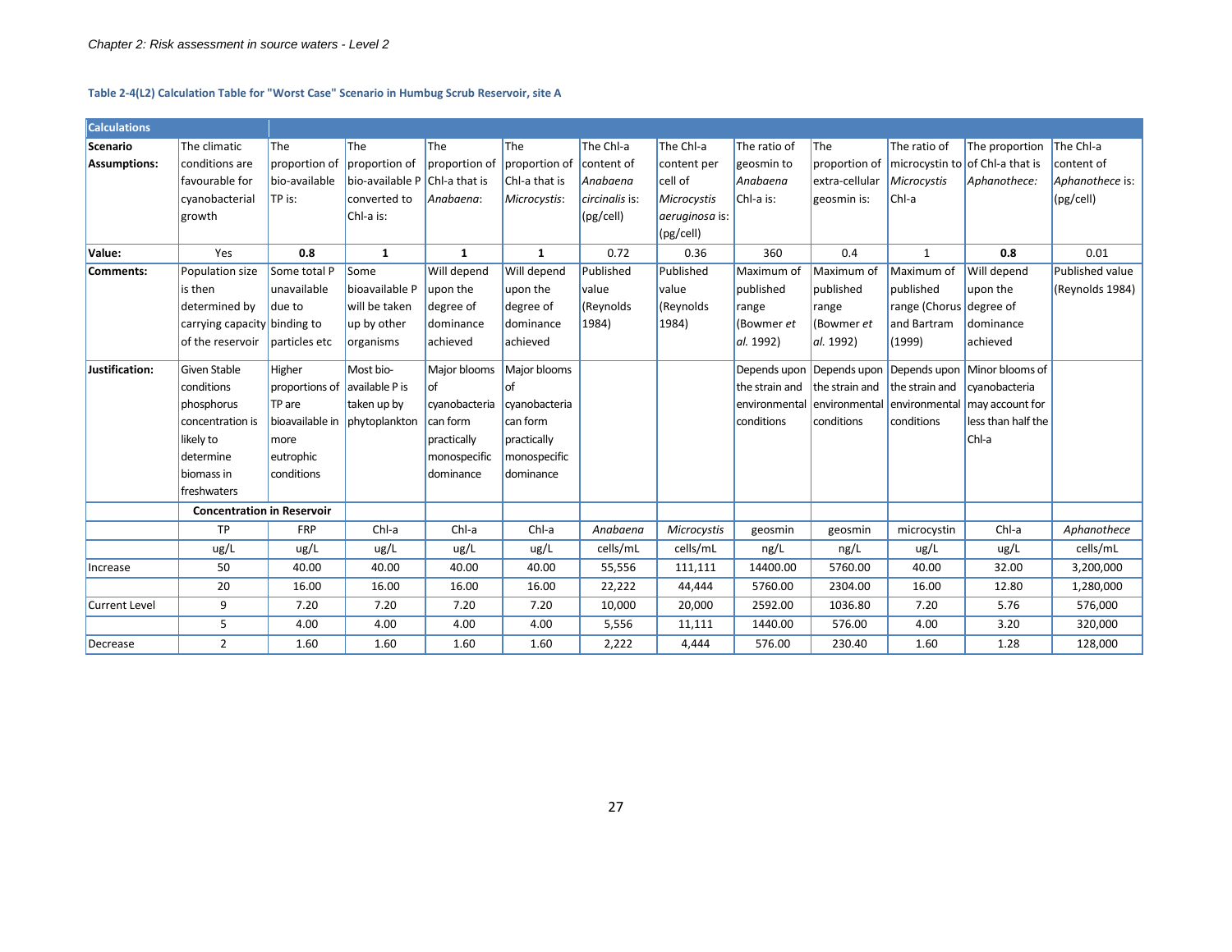#### **Table 2-4(L2) Calculation Table for "Worst Case" Scenario in Humbug Scrub Reservoir, site A**

<span id="page-27-0"></span>

| <b>Calculations</b>  |                                   |                               |                                 |               |               |                |                |                |                                           |                |                                                        |                 |
|----------------------|-----------------------------------|-------------------------------|---------------------------------|---------------|---------------|----------------|----------------|----------------|-------------------------------------------|----------------|--------------------------------------------------------|-----------------|
| Scenario             | The climatic                      | The                           | <b>The</b>                      | The           | <b>The</b>    | The Chl-a      | The Chl-a      | The ratio of   | <b>The</b>                                | The ratio of   | The proportion                                         | The Chl-a       |
| <b>Assumptions:</b>  | conditions are                    | proportion of                 | proportion of                   | proportion of | proportion of | content of     | content per    | geosmin to     | proportion of                             |                | microcystin to of Chl-a that is                        | content of      |
|                      | favourable for                    | bio-available                 | bio-available $P$ Chl-a that is |               | Chl-a that is | Anabaena       | cell of        | Anabaena       | extra-cellular                            | Microcystis    | Aphanothece:                                           | Aphanothece is: |
|                      | cyanobacterial                    | TP is:                        | converted to                    | Anabaena:     | Microcystis:  | circinalis is: | Microcystis    | Chl-a is:      | geosmin is:                               | Chl-a          |                                                        | (pg/cell)       |
|                      | growth                            |                               | Chl-a is:                       |               |               | (pg/cell)      | aeruginosa is: |                |                                           |                |                                                        |                 |
|                      |                                   |                               |                                 |               |               |                | (pg/cell)      |                |                                           |                |                                                        |                 |
| Value:               | Yes                               | 0.8                           | $\mathbf{1}$                    | $\mathbf{1}$  | $\mathbf{1}$  | 0.72           | 0.36           | 360            | 0.4                                       | $\mathbf{1}$   | 0.8                                                    | 0.01            |
| Comments:            | Population size                   | Some total P                  | Some                            | Will depend   | Will depend   | Published      | Published      | Maximum of     | Maximum of                                | Maximum of     | Will depend                                            | Published value |
|                      | is then                           | unavailable                   | bioavailable P                  | upon the      | upon the      | value          | value          | published      | published                                 | published      | upon the                                               | (Reynolds 1984) |
|                      | determined by                     | due to                        | will be taken                   | degree of     | degree of     | (Reynolds      | (Reynolds      | range          | range                                     | range (Chorus  | degree of                                              |                 |
|                      | carrying capacity binding to      |                               | up by other                     | dominance     | dominance     | 1984)          | 1984)          | (Bowmer et     | (Bowmer et                                | and Bartram    | dominance                                              |                 |
|                      | of the reservoir                  | particles etc                 | organisms                       | achieved      | achieved      |                |                | al. 1992)      | al. 1992)                                 | (1999)         | achieved                                               |                 |
| Justification:       | Given Stable                      | Higher                        | Most bio-                       | Major blooms  | Major blooms  |                |                |                |                                           |                | Depends upon Depends upon Depends upon Minor blooms of |                 |
|                      | conditions                        | proportions of available P is |                                 | of            | οf            |                |                | the strain and | the strain and                            | the strain and | cyanobacteria                                          |                 |
|                      | phosphorus                        | TP are                        | taken up by                     | cyanobacteria | cyanobacteria |                |                |                | environmental environmental environmental |                | may account for                                        |                 |
|                      | concentration is                  |                               | bioavailable in phytoplankton   | can form      | can form      |                |                | conditions     | conditions                                | conditions     | less than half the                                     |                 |
|                      | likely to                         | more                          |                                 | practically   | practically   |                |                |                |                                           |                | Chl-a                                                  |                 |
|                      | determine                         | eutrophic                     |                                 | monospecific  | monospecific  |                |                |                |                                           |                |                                                        |                 |
|                      | biomass in                        | conditions                    |                                 | dominance     | dominance     |                |                |                |                                           |                |                                                        |                 |
|                      | freshwaters                       |                               |                                 |               |               |                |                |                |                                           |                |                                                        |                 |
|                      | <b>Concentration in Reservoir</b> |                               |                                 |               |               |                |                |                |                                           |                |                                                        |                 |
|                      | TP                                | <b>FRP</b>                    | Chl-a                           | Chl-a         | Chl-a         | Anabaena       | Microcystis    | geosmin        | geosmin                                   | microcystin    | Chl-a                                                  | Aphanothece     |
|                      | ug/L                              | ug/L                          | ug/L                            | ug/L          | ug/L          | cells/mL       | cells/mL       | ng/L           | ng/L                                      | ug/L           | ug/L                                                   | cells/mL        |
| Increase             | 50                                | 40.00                         | 40.00                           | 40.00         | 40.00         | 55,556         | 111,111        | 14400.00       | 5760.00                                   | 40.00          | 32.00                                                  | 3,200,000       |
|                      | 20                                | 16.00                         | 16.00                           | 16.00         | 16.00         | 22,222         | 44,444         | 5760.00        | 2304.00                                   | 16.00          | 12.80                                                  | 1,280,000       |
| <b>Current Level</b> | 9                                 | 7.20                          | 7.20                            | 7.20          | 7.20          | 10,000         | 20,000         | 2592.00        | 1036.80                                   | 7.20           | 5.76                                                   | 576,000         |
|                      | 5                                 | 4.00                          | 4.00                            | 4.00          | 4.00          | 5,556          | 11,111         | 1440.00        | 576.00                                    | 4.00           | 3.20                                                   | 320,000         |
| Decrease             | $\overline{2}$                    | 1.60                          | 1.60                            | 1.60          | 1.60          | 2,222          | 4,444          | 576.00         | 230.40                                    | 1.60           | 1.28                                                   | 128,000         |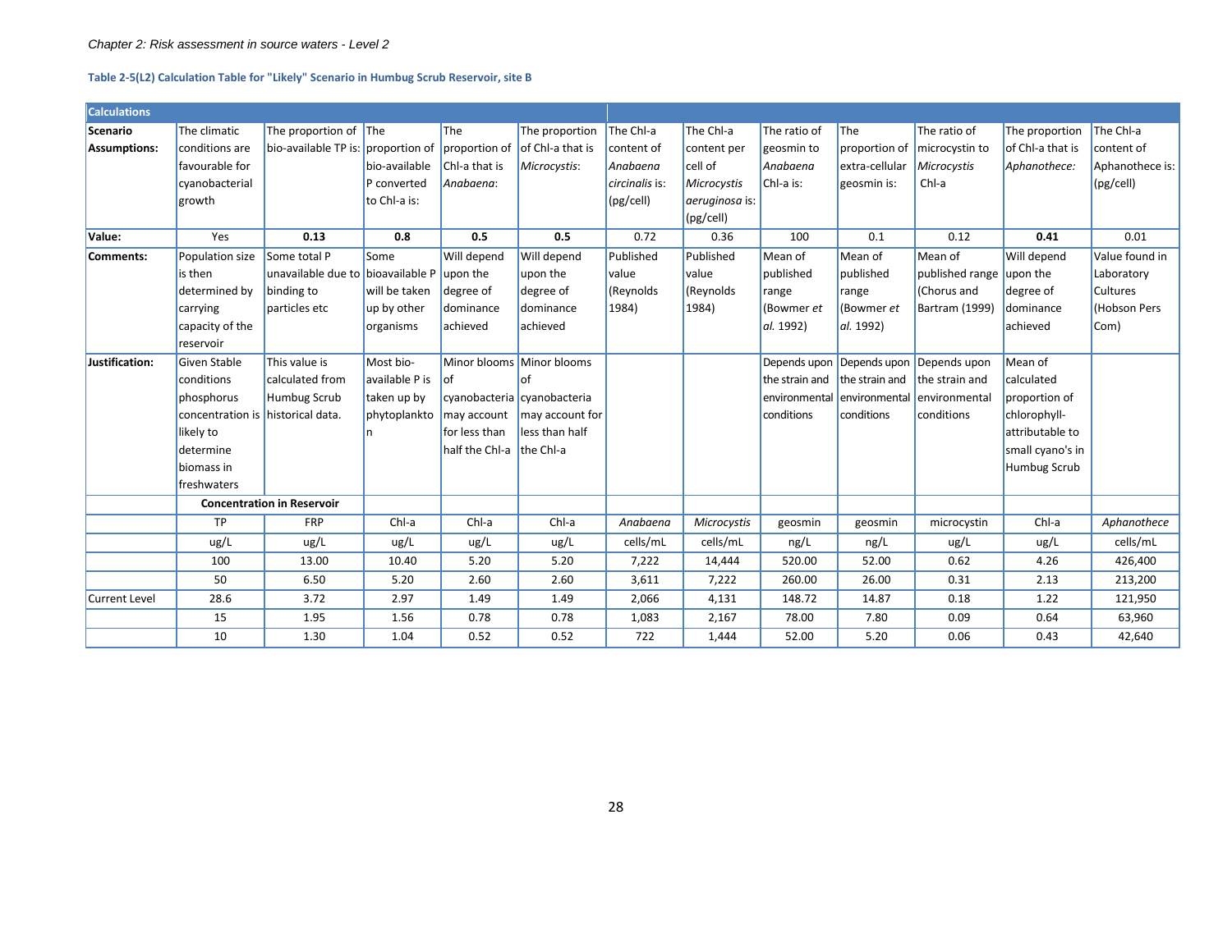#### **Table 2-5(L2) Calculation Table for "Likely" Scenario in Humbug Scrub Reservoir, site B**

<span id="page-28-0"></span>

| <b>Calculations</b>  |                                   |                                    |                |                |                             |                |                |                |                |                                        |                  |                 |
|----------------------|-----------------------------------|------------------------------------|----------------|----------------|-----------------------------|----------------|----------------|----------------|----------------|----------------------------------------|------------------|-----------------|
| Scenario             | The climatic                      | The proportion of The              |                | The            | The proportion              | The Chl-a      | The Chl-a      | The ratio of   | <b>The</b>     | The ratio of                           | The proportion   | The Chl-a       |
| Assumptions:         | conditions are                    | bio-available TP is: proportion of |                | proportion of  | of Chl-a that is            | content of     | content per    | geosmin to     |                | proportion of microcystin to           | of Chl-a that is | content of      |
|                      | favourable for                    |                                    | bio-available  | Chl-a that is  | Microcystis:                | Anabaena       | cell of        | Anabaena       | extra-cellular | Microcystis                            | Aphanothece:     | Aphanothece is: |
|                      | cyanobacterial                    |                                    | P converted    | Anabaena:      |                             | circinalis is: | Microcystis    | Chl-a is:      | geosmin is:    | Chl-a                                  |                  | (pg/cell)       |
|                      | growth                            |                                    | to Chl-a is:   |                |                             | (pg/cell)      | aeruginosa is: |                |                |                                        |                  |                 |
|                      |                                   |                                    |                |                |                             |                | (pg/cell)      |                |                |                                        |                  |                 |
| Value:               | Yes                               | 0.13                               | 0.8            | 0.5            | 0.5                         | 0.72           | 0.36           | 100            | 0.1            | 0.12                                   | 0.41             | 0.01            |
| Comments:            | Population size                   | Some total P                       | Some           | Will depend    | Will depend                 | Published      | Published      | Mean of        | Mean of        | Mean of                                | Will depend      | Value found in  |
|                      | is then                           | unavailable due to bioavailable P  |                | upon the       | upon the                    | value          | value          | published      | published      | published range upon the               |                  | Laboratory      |
|                      | determined by                     | binding to                         | will be taken  | degree of      | degree of                   | (Reynolds      | (Reynolds      | range          | range          | (Chorus and                            | degree of        | <b>Cultures</b> |
|                      | carrying                          | particles etc                      | up by other    | dominance      | dominance                   | 1984)          | 1984)          | (Bowmer et     | (Bowmer et     | Bartram (1999)                         | dominance        | Hobson Pers     |
|                      | capacity of the                   |                                    | organisms      | achieved       | achieved                    |                |                | al. 1992)      | $aL$ 1992)     |                                        | achieved         | Com)            |
|                      | reservoir                         |                                    |                |                |                             |                |                |                |                |                                        |                  |                 |
| Justification:       | Given Stable                      | This value is                      | Most bio-      |                | Minor blooms Minor blooms   |                |                |                |                | Depends upon Depends upon Depends upon | Mean of          |                 |
|                      | conditions                        | calculated from                    | available P is | of             | lof                         |                |                | the strain and | the strain and | the strain and                         | calculated       |                 |
|                      | phosphorus                        | Humbug Scrub                       | taken up by    |                | cyanobacteria cyanobacteria |                |                | environmental  | environmental  | lenvironmental                         | proportion of    |                 |
|                      | concentration is historical data. |                                    | phytoplankto   | may account    | may account for             |                |                | conditions     | conditions     | conditions                             | chlorophyll-     |                 |
|                      | likely to                         |                                    |                | for less than  | less than half              |                |                |                |                |                                        | attributable to  |                 |
|                      | determine                         |                                    |                | half the Chl-a | the Chl-a                   |                |                |                |                |                                        | small cyano's in |                 |
|                      | biomass in                        |                                    |                |                |                             |                |                |                |                |                                        | Humbug Scrub     |                 |
|                      | freshwaters                       |                                    |                |                |                             |                |                |                |                |                                        |                  |                 |
|                      | <b>Concentration in Reservoir</b> |                                    |                |                |                             |                |                |                |                |                                        |                  |                 |
|                      | TP                                | <b>FRP</b>                         | Chl-a          | Chl-a          | Chl-a                       | Anabaena       | Microcystis    | geosmin        | geosmin        | microcystin                            | Chl-a            | Aphanothece     |
|                      | ug/L                              | ug/L                               | ug/L           | ug/L           | ug/L                        | cells/mL       | cells/mL       | ng/L           | ng/L           | ug/L                                   | ug/L             | cells/mL        |
|                      | 100                               | 13.00                              | 10.40          | 5.20           | 5.20                        | 7,222          | 14,444         | 520.00         | 52.00          | 0.62                                   | 4.26             | 426,400         |
|                      | 50                                | 6.50                               | 5.20           | 2.60           | 2.60                        | 3,611          | 7,222          | 260.00         | 26.00          | 0.31                                   | 2.13             | 213,200         |
| <b>Current Level</b> | 28.6                              | 3.72                               | 2.97           | 1.49           | 1.49                        | 2,066          | 4,131          | 148.72         | 14.87          | 0.18                                   | 1.22             | 121,950         |
|                      | 15                                | 1.95                               | 1.56           | 0.78           | 0.78                        | 1,083          | 2,167          | 78.00          | 7.80           | 0.09                                   | 0.64             | 63,960          |
|                      | 10                                | 1.30                               | 1.04           | 0.52           | 0.52                        | 722            | 1,444          | 52.00          | 5.20           | 0.06                                   | 0.43             | 42,640          |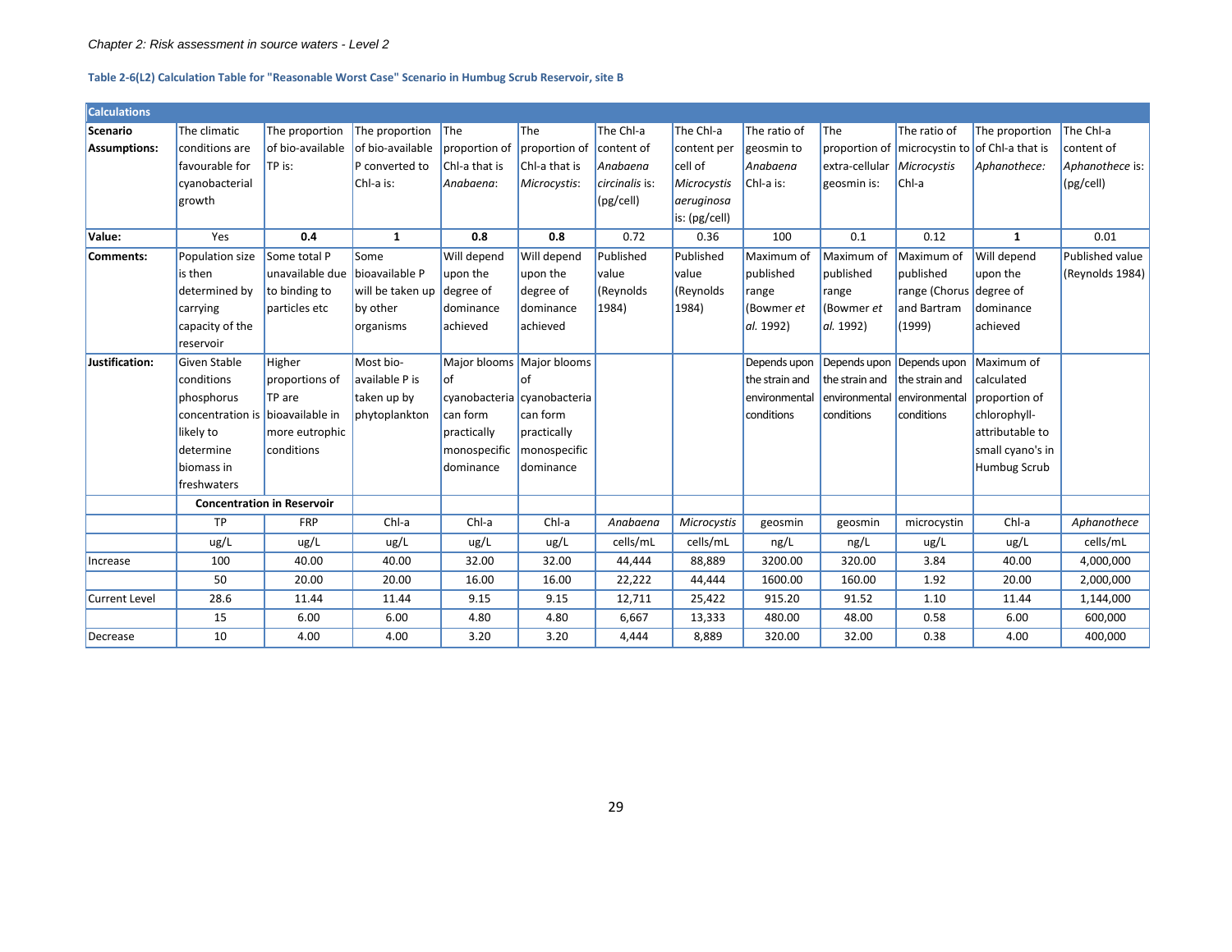#### *Chapter 2: Risk assessment in source waters - Level 2*

#### **Table 2-6(L2) Calculation Table for "Reasonable Worst Case" Scenario in Humbug Scrub Reservoir, site B**

| <b>Calculations</b>  |                                   |                  |                            |                |                             |                |               |                |                |                             |                                               |                 |
|----------------------|-----------------------------------|------------------|----------------------------|----------------|-----------------------------|----------------|---------------|----------------|----------------|-----------------------------|-----------------------------------------------|-----------------|
| Scenario             | The climatic                      | The proportion   | The proportion             | $\mathsf{The}$ | <b>The</b>                  | The Chl-a      | The Chl-a     | The ratio of   | <b>The</b>     | The ratio of                | The proportion                                | The Chl-a       |
| Assumptions:         | conditions are                    | of bio-available | of bio-available           | proportion of  | proportion of               | content of     | content per   | geosmin to     |                |                             | proportion of microcystin to of Chl-a that is | content of      |
|                      | favourable for                    | TP is:           | P converted to             | Chl-a that is  | Chl-a that is               | Anabaena       | cell of       | Anabaena       | extra-cellular | Microcystis                 | Aphanothece:                                  | Aphanothece is: |
|                      | cyanobacterial                    |                  | Chl-a is:                  | Anabaena:      | Microcystis:                | circinalis is: | Microcystis   | Chl-a is:      | geosmin is:    | Chl-a                       |                                               | (pg/cell)       |
|                      | growth                            |                  |                            |                |                             | (pg/cell)      | aeruginosa    |                |                |                             |                                               |                 |
|                      |                                   |                  |                            |                |                             |                | is: (pg/cell) |                |                |                             |                                               |                 |
| Value:               | Yes                               | 0.4              | $\mathbf{1}$               | 0.8            | 0.8                         | 0.72           | 0.36          | 100            | 0.1            | 0.12                        | $\mathbf{1}$                                  | 0.01            |
| Comments:            | Population size                   | Some total P     | Some                       | Will depend    | Will depend                 | Published      | Published     | Maximum of     | Maximum of     | Maximum of                  | Will depend                                   | Published value |
|                      | is then                           | unavailable due  | bioavailable P             | upon the       | upon the                    | <b>value</b>   | value         | published      | published      | published                   | upon the                                      | (Reynolds 1984) |
|                      | determined by                     | to binding to    | will be taken up degree of |                | degree of                   | (Reynolds      | (Reynolds     | range          | range          | range (Chorus degree of     |                                               |                 |
|                      | carrying                          | particles etc    | by other                   | dominance      | dominance                   | 1984)          | 1984)         | (Bowmer et     | (Bowmer et     | and Bartram                 | dominance                                     |                 |
|                      | capacity of the                   |                  | organisms                  | achieved       | lachieved                   |                |               | al. 1992)      | al. 1992)      | (1999)                      | achieved                                      |                 |
|                      | reservoir                         |                  |                            |                |                             |                |               |                |                |                             |                                               |                 |
| Justification:       | Given Stable                      | Higher           | Most bio-                  |                | Major blooms Major blooms   |                |               | Depends upon   |                | Depends upon Depends upon   | Maximum of                                    |                 |
|                      | conditions                        | proportions of   | available P is             | lof            | of                          |                |               | the strain and | the strain and | the strain and              | calculated                                    |                 |
|                      | phosphorus                        | TP are           | taken up by                |                | cyanobacteria cyanobacteria |                |               | environmental  |                | environmental environmental | proportion of                                 |                 |
|                      | concentration is bioavailable in  |                  | phytoplankton              | can form       | can form                    |                |               | conditions     | conditions     | conditions                  | chlorophyll-                                  |                 |
|                      | likely to                         | more eutrophic   |                            | practically    | practically                 |                |               |                |                |                             | attributable to                               |                 |
|                      | determine                         | conditions       |                            | monospecific   | monospecific                |                |               |                |                |                             | small cyano's in                              |                 |
|                      | biomass in                        |                  |                            | dominance      | <b>dominance</b>            |                |               |                |                |                             | <b>Humbug Scrub</b>                           |                 |
|                      | freshwaters                       |                  |                            |                |                             |                |               |                |                |                             |                                               |                 |
|                      | <b>Concentration in Reservoir</b> |                  |                            |                |                             |                |               |                |                |                             |                                               |                 |
|                      | TP                                | <b>FRP</b>       | Chl-a                      | Chl-a          | Chl-a                       | Anabaena       | Microcystis   | geosmin        | geosmin        | microcystin                 | Chl-a                                         | Aphanothece     |
|                      | ug/L                              | ug/L             | ug/L                       | ug/L           | ug/L                        | cells/mL       | cells/mL      | ng/L           | ng/L           | ug/L                        | ug/L                                          | cells/mL        |
| Increase             | 100                               | 40.00            | 40.00                      | 32.00          | 32.00                       | 44,444         | 88,889        | 3200.00        | 320.00         | 3.84                        | 40.00                                         | 4,000,000       |
|                      | 50                                | 20.00            | 20.00                      | 16.00          | 16.00                       | 22,222         | 44,444        | 1600.00        | 160.00         | 1.92                        | 20.00                                         | 2,000,000       |
| <b>Current Level</b> | 28.6                              | 11.44            | 11.44                      | 9.15           | 9.15                        | 12,711         | 25,422        | 915.20         | 91.52          | 1.10                        | 11.44                                         | 1,144,000       |
|                      | 15                                | 6.00             | 6.00                       | 4.80           | 4.80                        | 6,667          | 13,333        | 480.00         | 48.00          | 0.58                        | 6.00                                          | 600,000         |
| Decrease             | 10                                | 4.00             | 4.00                       | 3.20           | 3.20                        | 4,444          | 8,889         | 320.00         | 32.00          | 0.38                        | 4.00                                          | 400,000         |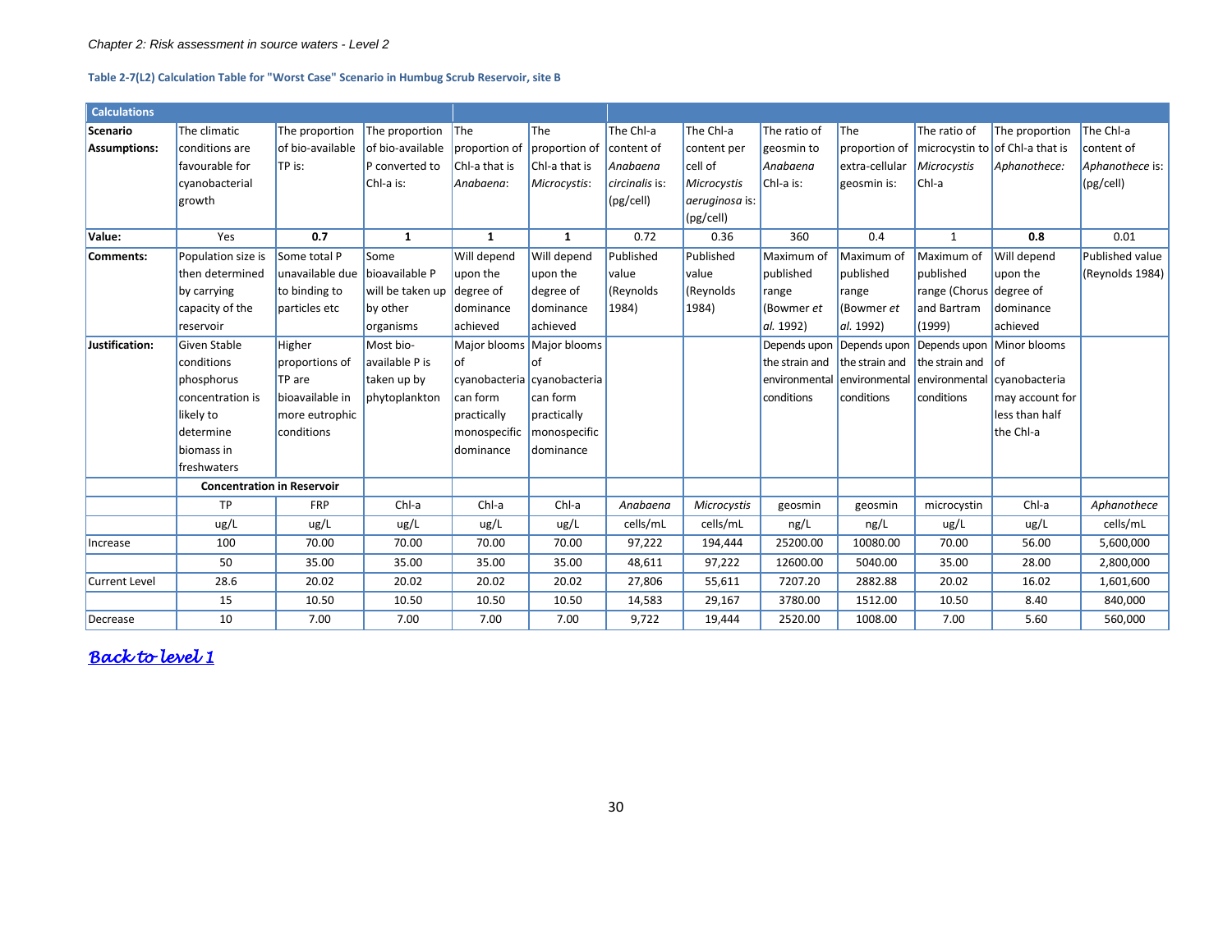#### **Table 2-7(L2) Calculation Table for "Worst Case" Scenario in Humbug Scrub Reservoir, site B**

<span id="page-30-0"></span>

| <b>Calculations</b>  |                                   |                  |                  |               |                             |                |                |                |                |                                  |                                               |                 |
|----------------------|-----------------------------------|------------------|------------------|---------------|-----------------------------|----------------|----------------|----------------|----------------|----------------------------------|-----------------------------------------------|-----------------|
| Scenario             | The climatic                      | The proportion   | The proportion   | <b>The</b>    | The                         | The Chl-a      | The Chl-a      | The ratio of   | The            | The ratio of                     | The proportion                                | The Chl-a       |
| Assumptions:         | conditions are                    | of bio-available | of bio-available | proportion of | proportion of               | content of     | content per    | geosmin to     |                |                                  | proportion of microcystin to of Chl-a that is | content of      |
|                      | favourable for                    | TP is:           | P converted to   | Chl-a that is | Chl-a that is               | Anabaena       | cell of        | Anabaena       | extra-cellular | Microcystis                      | Aphanothece:                                  | Aphanothece is: |
|                      | cyanobacterial                    |                  | Chl-a is:        | Anabaena:     | Microcystis:                | circinalis is: | Microcystis    | Chl-a is:      | geosmin is:    | Chl-a                            |                                               | (pg/cell)       |
|                      | growth                            |                  |                  |               |                             | (pg/cell)      | aeruginosa is: |                |                |                                  |                                               |                 |
|                      |                                   |                  |                  |               |                             |                | (pg/cell)      |                |                |                                  |                                               |                 |
| Value:               | Yes                               | 0.7              | $\mathbf{1}$     | 1             | 1                           | 0.72           | 0.36           | 360            | 0.4            | $\mathbf{1}$                     | 0.8                                           | 0.01            |
| Comments:            | Population size is                | Some total P     | <b>Some</b>      | Will depend   | Will depend                 | Published      | Published      | Maximum of     | Maximum of     | Maximum of                       | Will depend                                   | Published value |
|                      | then determined                   | unavailable due  | bioavailable P   | upon the      | upon the                    | <b>value</b>   | value          | published      | published      | <b>published</b>                 | upon the                                      | (Reynolds 1984) |
|                      | by carrying                       | to binding to    | will be taken up | degree of     | degree of                   | (Reynolds      | (Reynolds      | range          | range          | range (Chorus degree of          |                                               |                 |
|                      | capacity of the                   | particles etc    | by other         | dominance     | dominance                   | 1984)          | 1984)          | (Bowmer et     | (Bowmer et     | and Bartram                      | dominance                                     |                 |
|                      | reservoir                         |                  | organisms        | achieved      | achieved                    |                |                | al. 1992)      | al. 1992)      | (1999)                           | achieved                                      |                 |
| Justification:       | Given Stable                      | Higher           | Most bio-        | Major blooms  | Major blooms                |                |                | Depends upon   | Depends upon   | Depends upon                     | Minor blooms                                  |                 |
|                      | conditions                        | proportions of   | available P is   | lof           | Ωf                          |                |                | the strain and |                | the strain and the strain and of |                                               |                 |
|                      | phosphorus                        | TP are           | taken up by      |               | cyanobacteria cyanobacteria |                |                | environmental  | environmental  | environmental                    | cyanobacteria                                 |                 |
|                      | concentration is                  | bioavailable in  | phytoplankton    | can form      | can form                    |                |                | conditions     | conditions     | conditions                       | may account for                               |                 |
|                      | likely to                         | more eutrophic   |                  | practically   | practically                 |                |                |                |                |                                  | less than half                                |                 |
|                      | determine                         | conditions       |                  | monospecific  | monospecific                |                |                |                |                |                                  | the Chl-a                                     |                 |
|                      | biomass in                        |                  |                  | dominance     | dominance                   |                |                |                |                |                                  |                                               |                 |
|                      | freshwaters                       |                  |                  |               |                             |                |                |                |                |                                  |                                               |                 |
|                      | <b>Concentration in Reservoir</b> |                  |                  |               |                             |                |                |                |                |                                  |                                               |                 |
|                      | <b>TP</b>                         | <b>FRP</b>       | Chl-a            | Chl-a         | Chl-a                       | Anabaena       | Microcystis    | geosmin        | geosmin        | microcystin                      | Chl-a                                         | Aphanothece     |
|                      | ug/L                              | ug/L             | ug/L             | ug/L          | ug/L                        | cells/mL       | cells/mL       | ng/L           | ng/L           | ug/L                             | ug/L                                          | cells/mL        |
| Increase             | 100                               | 70.00            | 70.00            | 70.00         | 70.00                       | 97,222         | 194,444        | 25200.00       | 10080.00       | 70.00                            | 56.00                                         | 5,600,000       |
|                      | 50                                | 35.00            | 35.00            | 35.00         | 35.00                       | 48,611         | 97,222         | 12600.00       | 5040.00        | 35.00                            | 28.00                                         | 2,800,000       |
| <b>Current Level</b> | 28.6                              | 20.02            | 20.02            | 20.02         | 20.02                       | 27,806         | 55,611         | 7207.20        | 2882.88        | 20.02                            | 16.02                                         | 1,601,600       |
|                      | 15                                | 10.50            | 10.50            | 10.50         | 10.50                       | 14,583         | 29,167         | 3780.00        | 1512.00        | 10.50                            | 8.40                                          | 840,000         |
| Decrease             | 10                                | 7.00             | 7.00             | 7.00          | 7.00                        | 9,722          | 19,444         | 2520.00        | 1008.00        | 7.00                             | 5.60                                          | 560,000         |

*[Back to level 1](#page-8-2)*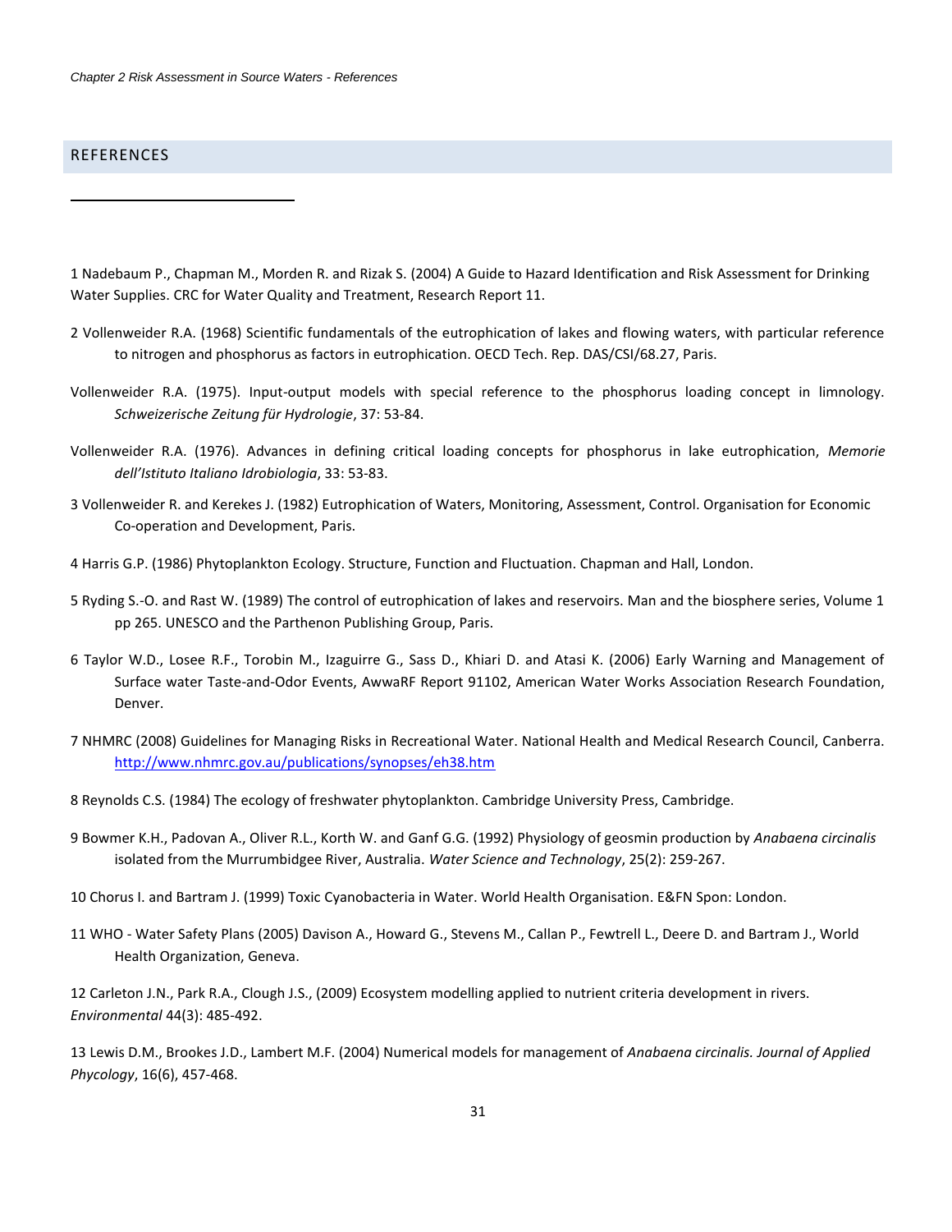## **REFERENCES**

<span id="page-31-0"></span>-

1 Nadebaum P., Chapman M., Morden R. and Rizak S. (2004) A Guide to Hazard Identification and Risk Assessment for Drinking Water Supplies. CRC for Water Quality and Treatment, Research Report 11.

- 2 Vollenweider R.A. (1968) Scientific fundamentals of the eutrophication of lakes and flowing waters, with particular reference to nitrogen and phosphorus as factors in eutrophication. OECD Tech. Rep. DAS/CSI/68.27, Paris.
- Vollenweider R.A. (1975). Input-output models with special reference to the phosphorus loading concept in limnology. *Schweizerische Zeitung für Hydrologie*, 37: 53-84.
- Vollenweider R.A. (1976). Advances in defining critical loading concepts for phosphorus in lake eutrophication, *Memorie dell'Istituto Italiano Idrobiologia*, 33: 53-83.
- 3 Vollenweider R. and Kerekes J. (1982) Eutrophication of Waters, Monitoring, Assessment, Control. Organisation for Economic Co-operation and Development, Paris.
- 4 Harris G.P. (1986) Phytoplankton Ecology. Structure, Function and Fluctuation. Chapman and Hall, London.
- 5 Ryding S.-O. and Rast W. (1989) The control of eutrophication of lakes and reservoirs. Man and the biosphere series, Volume 1 pp 265. UNESCO and the Parthenon Publishing Group, Paris.
- 6 Taylor W.D., Losee R.F., Torobin M., Izaguirre G., Sass D., Khiari D. and Atasi K. (2006) Early Warning and Management of Surface water Taste-and-Odor Events, AwwaRF Report 91102, American Water Works Association Research Foundation, Denver.
- 7 NHMRC (2008) Guidelines for Managing Risks in Recreational Water. National Health and Medical Research Council, Canberra. <http://www.nhmrc.gov.au/publications/synopses/eh38.htm>
- 8 Reynolds C.S. (1984) The ecology of freshwater phytoplankton. Cambridge University Press, Cambridge.
- 9 Bowmer K.H., Padovan A., Oliver R.L., Korth W. and Ganf G.G. (1992) Physiology of geosmin production by *Anabaena circinalis* isolated from the Murrumbidgee River, Australia. *Water Science and Technology*, 25(2): 259-267.
- 10 Chorus I. and Bartram J. (1999) Toxic Cyanobacteria in Water. World Health Organisation. E&FN Spon: London.
- 11 WHO Water Safety Plans (2005) Davison A., Howard G., Stevens M., Callan P., Fewtrell L., Deere D. and Bartram J., World Health Organization, Geneva.

12 Carleton J.N., Park R.A., Clough J.S., (2009) Ecosystem modelling applied to nutrient criteria development in rivers. *Environmental* 44(3): 485-492.

13 Lewis D.M., Brookes J.D., Lambert M.F. (2004) Numerical models for management of *Anabaena circinalis. Journal of Applied Phycology*, 16(6), 457-468.